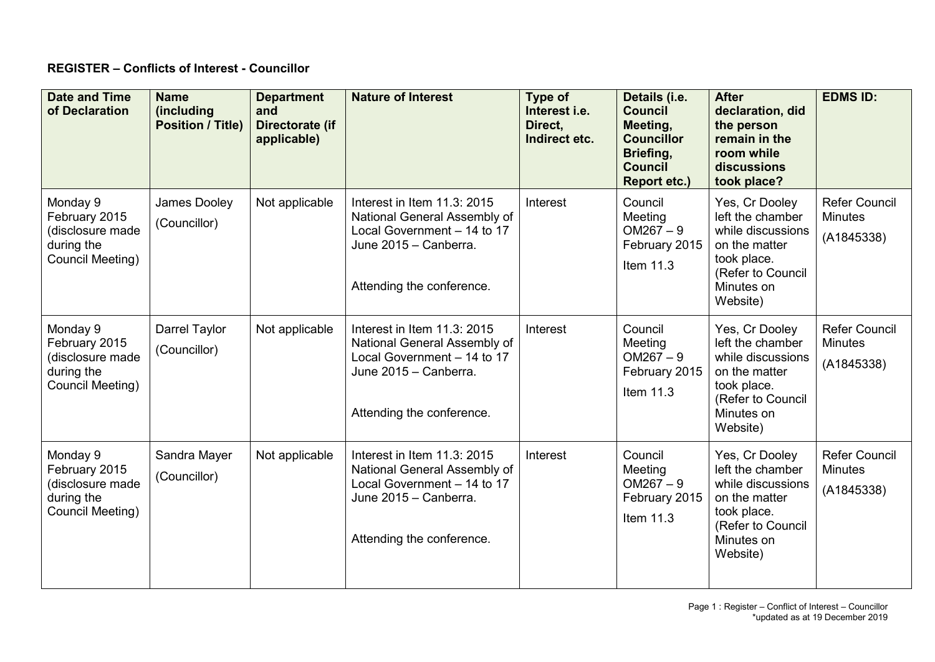## **REGISTER – Conflicts of Interest - Councillor**

| <b>Date and Time</b><br>of Declaration                                          | <b>Name</b><br>(including<br><b>Position / Title)</b> | <b>Department</b><br>and<br>Directorate (if<br>applicable) | <b>Nature of Interest</b>                                                                                                                        | Type of<br>Interest i.e.<br>Direct,<br>Indirect etc. | Details (i.e.<br><b>Council</b><br>Meeting,<br><b>Councillor</b><br>Briefing,<br><b>Council</b><br><b>Report etc.)</b> | <b>After</b><br>declaration, did<br>the person<br>remain in the<br>room while<br>discussions<br>took place?                            | <b>EDMS ID:</b>                                      |
|---------------------------------------------------------------------------------|-------------------------------------------------------|------------------------------------------------------------|--------------------------------------------------------------------------------------------------------------------------------------------------|------------------------------------------------------|------------------------------------------------------------------------------------------------------------------------|----------------------------------------------------------------------------------------------------------------------------------------|------------------------------------------------------|
| Monday 9<br>February 2015<br>(disclosure made<br>during the<br>Council Meeting) | James Dooley<br>(Councillor)                          | Not applicable                                             | Interest in Item 11.3: 2015<br>National General Assembly of<br>Local Government - 14 to 17<br>June 2015 - Canberra.<br>Attending the conference. | Interest                                             | Council<br>Meeting<br>$OM267 - 9$<br>February 2015<br>Item 11.3                                                        | Yes, Cr Dooley<br>left the chamber<br>while discussions<br>on the matter<br>took place.<br>(Refer to Council<br>Minutes on<br>Website) | <b>Refer Council</b><br><b>Minutes</b><br>(A1845338) |
| Monday 9<br>February 2015<br>(disclosure made<br>during the<br>Council Meeting) | Darrel Taylor<br>(Councillor)                         | Not applicable                                             | Interest in Item 11.3: 2015<br>National General Assembly of<br>Local Government - 14 to 17<br>June 2015 - Canberra.<br>Attending the conference. | Interest                                             | Council<br>Meeting<br>$OM267 - 9$<br>February 2015<br>Item 11.3                                                        | Yes, Cr Dooley<br>left the chamber<br>while discussions<br>on the matter<br>took place.<br>(Refer to Council<br>Minutes on<br>Website) | <b>Refer Council</b><br><b>Minutes</b><br>(A1845338) |
| Monday 9<br>February 2015<br>(disclosure made<br>during the<br>Council Meeting) | Sandra Mayer<br>(Councillor)                          | Not applicable                                             | Interest in Item 11.3: 2015<br>National General Assembly of<br>Local Government - 14 to 17<br>June 2015 - Canberra.<br>Attending the conference. | Interest                                             | Council<br>Meeting<br>$OM267 - 9$<br>February 2015<br>Item 11.3                                                        | Yes, Cr Dooley<br>left the chamber<br>while discussions<br>on the matter<br>took place.<br>(Refer to Council<br>Minutes on<br>Website) | <b>Refer Council</b><br><b>Minutes</b><br>(A1845338) |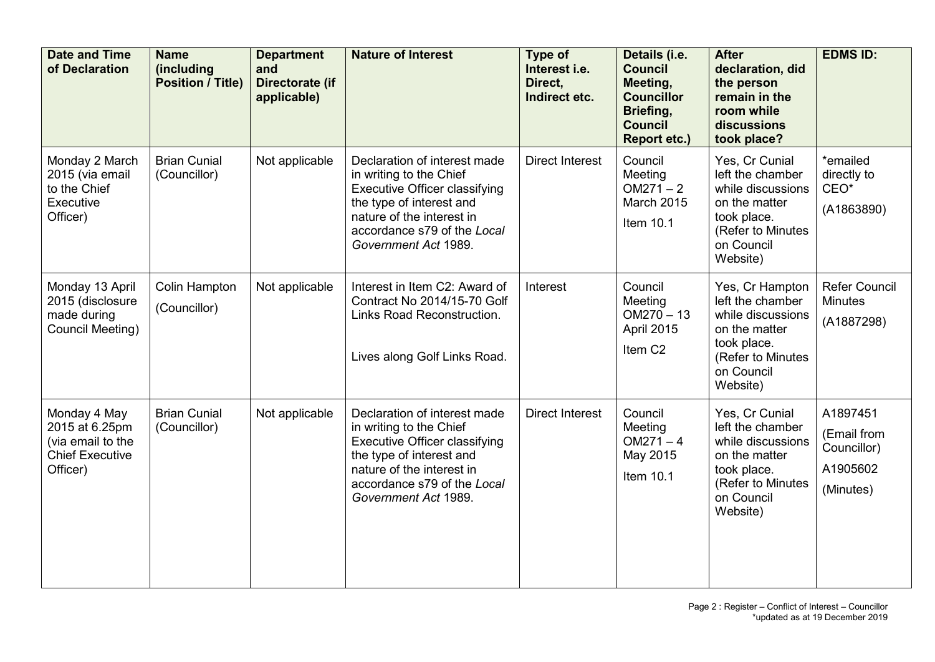| <b>Date and Time</b><br>of Declaration                                                    | <b>Name</b><br>(including<br><b>Position / Title)</b> | <b>Department</b><br>and<br>Directorate (if<br>applicable) | <b>Nature of Interest</b>                                                                                                                                                                                       | Type of<br>Interest i.e.<br>Direct.<br>Indirect etc. | Details (i.e.<br><b>Council</b><br>Meeting,<br><b>Councillor</b><br>Briefing,<br><b>Council</b><br><b>Report etc.)</b> | <b>After</b><br>declaration, did<br>the person<br>remain in the<br>room while<br>discussions<br>took place?                             | <b>EDMS ID:</b>                                                 |
|-------------------------------------------------------------------------------------------|-------------------------------------------------------|------------------------------------------------------------|-----------------------------------------------------------------------------------------------------------------------------------------------------------------------------------------------------------------|------------------------------------------------------|------------------------------------------------------------------------------------------------------------------------|-----------------------------------------------------------------------------------------------------------------------------------------|-----------------------------------------------------------------|
| Monday 2 March<br>2015 (via email<br>to the Chief<br>Executive<br>Officer)                | <b>Brian Cunial</b><br>(Councillor)                   | Not applicable                                             | Declaration of interest made<br>in writing to the Chief<br>Executive Officer classifying<br>the type of interest and<br>nature of the interest in<br>accordance s79 of the Local<br>Government Act 1989.        | <b>Direct Interest</b>                               | Council<br>Meeting<br>$OM271 - 2$<br><b>March 2015</b><br>Item 10.1                                                    | Yes, Cr Cunial<br>left the chamber<br>while discussions<br>on the matter<br>took place.<br>(Refer to Minutes<br>on Council<br>Website)  | *emailed<br>directly to<br>CEO <sup>*</sup><br>(A1863890)       |
| Monday 13 April<br>2015 (disclosure<br>made during<br>Council Meeting)                    | Colin Hampton<br>(Councillor)                         | Not applicable                                             | Interest in Item C2: Award of<br>Contract No 2014/15-70 Golf<br>Links Road Reconstruction.<br>Lives along Golf Links Road.                                                                                      | Interest                                             | Council<br>Meeting<br>$OM270 - 13$<br>April 2015<br>Item C <sub>2</sub>                                                | Yes, Cr Hampton<br>left the chamber<br>while discussions<br>on the matter<br>took place.<br>(Refer to Minutes<br>on Council<br>Website) | <b>Refer Council</b><br><b>Minutes</b><br>(A1887298)            |
| Monday 4 May<br>2015 at 6.25pm<br>(via email to the<br><b>Chief Executive</b><br>Officer) | <b>Brian Cunial</b><br>(Councillor)                   | Not applicable                                             | Declaration of interest made<br>in writing to the Chief<br><b>Executive Officer classifying</b><br>the type of interest and<br>nature of the interest in<br>accordance s79 of the Local<br>Government Act 1989. | <b>Direct Interest</b>                               | Council<br>Meeting<br>$OM271 - 4$<br>May 2015<br>Item 10.1                                                             | Yes, Cr Cunial<br>left the chamber<br>while discussions<br>on the matter<br>took place.<br>(Refer to Minutes<br>on Council<br>Website)  | A1897451<br>(Email from<br>Councillor)<br>A1905602<br>(Minutes) |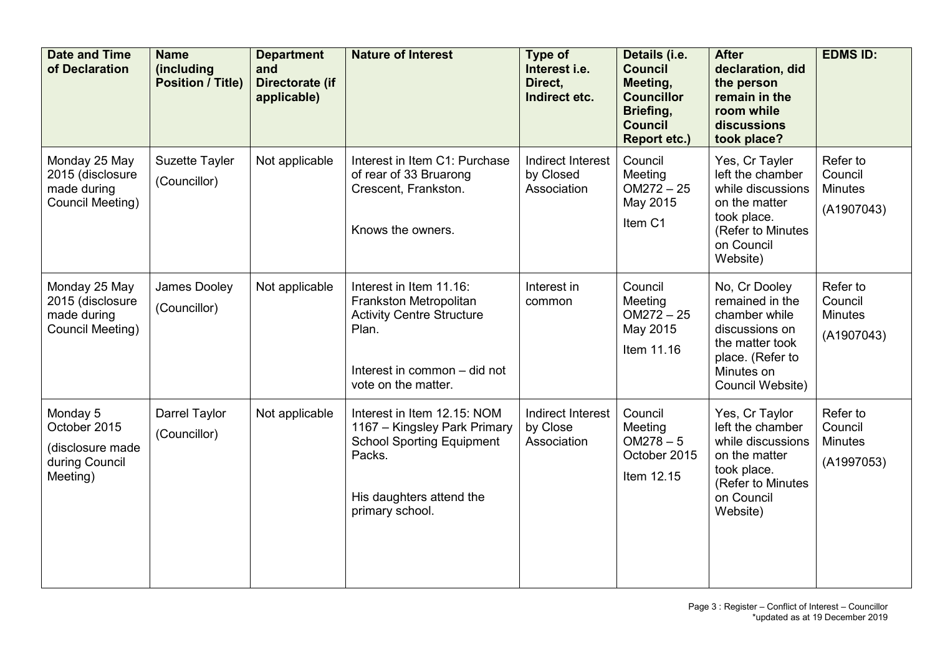| <b>Date and Time</b><br>of Declaration                                     | <b>Name</b><br>(including<br><b>Position / Title)</b> | <b>Department</b><br>and<br>Directorate (if<br>applicable) | <b>Nature of Interest</b>                                                                                                                                | Type of<br>Interest i.e.<br>Direct.<br>Indirect etc. | Details (i.e.<br><b>Council</b><br>Meeting,<br><b>Councillor</b><br>Briefing,<br><b>Council</b><br><b>Report etc.)</b> | <b>After</b><br>declaration, did<br>the person<br>remain in the<br>room while<br>discussions<br>took place?                                  | <b>EDMS ID:</b>                                     |
|----------------------------------------------------------------------------|-------------------------------------------------------|------------------------------------------------------------|----------------------------------------------------------------------------------------------------------------------------------------------------------|------------------------------------------------------|------------------------------------------------------------------------------------------------------------------------|----------------------------------------------------------------------------------------------------------------------------------------------|-----------------------------------------------------|
| Monday 25 May<br>2015 (disclosure<br>made during<br>Council Meeting)       | Suzette Tayler<br>(Councillor)                        | Not applicable                                             | Interest in Item C1: Purchase<br>of rear of 33 Bruarong<br>Crescent, Frankston.<br>Knows the owners.                                                     | <b>Indirect Interest</b><br>by Closed<br>Association | Council<br>Meeting<br>$OM272 - 25$<br>May 2015<br>Item C1                                                              | Yes, Cr Tayler<br>left the chamber<br>while discussions<br>on the matter<br>took place.<br>(Refer to Minutes<br>on Council<br>Website)       | Refer to<br>Council<br><b>Minutes</b><br>(A1907043) |
| Monday 25 May<br>2015 (disclosure<br>made during<br>Council Meeting)       | James Dooley<br>(Councillor)                          | Not applicable                                             | Interest in Item 11.16:<br>Frankston Metropolitan<br><b>Activity Centre Structure</b><br>Plan.<br>Interest in common - did not<br>vote on the matter.    | Interest in<br>common                                | Council<br>Meeting<br>$OM272 - 25$<br>May 2015<br>Item 11.16                                                           | No, Cr Dooley<br>remained in the<br>chamber while<br>discussions on<br>the matter took<br>place. (Refer to<br>Minutes on<br>Council Website) | Refer to<br>Council<br><b>Minutes</b><br>(A1907043) |
| Monday 5<br>October 2015<br>(disclosure made<br>during Council<br>Meeting) | Darrel Taylor<br>(Councillor)                         | Not applicable                                             | Interest in Item 12.15: NOM<br>1167 – Kingsley Park Primary<br><b>School Sporting Equipment</b><br>Packs.<br>His daughters attend the<br>primary school. | Indirect Interest<br>by Close<br>Association         | Council<br>Meeting<br>$OM278 - 5$<br>October 2015<br>Item 12.15                                                        | Yes, Cr Taylor<br>left the chamber<br>while discussions<br>on the matter<br>took place.<br>(Refer to Minutes<br>on Council<br>Website)       | Refer to<br>Council<br><b>Minutes</b><br>(A1997053) |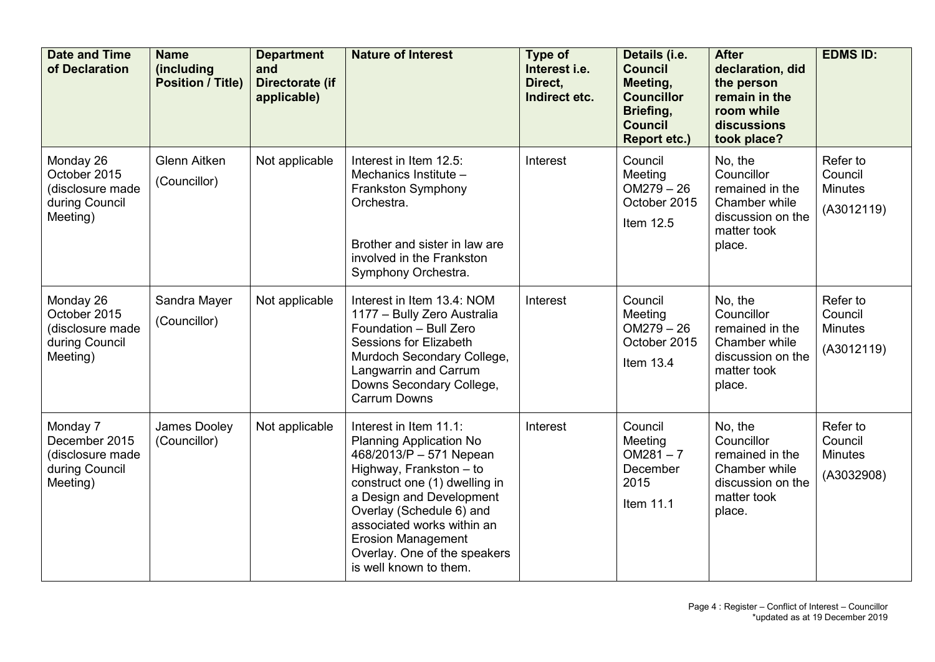| <b>Date and Time</b><br>of Declaration                                      | <b>Name</b><br>(including<br><b>Position / Title)</b> | <b>Department</b><br>and<br>Directorate (if<br>applicable) | <b>Nature of Interest</b>                                                                                                                                                                                                                                                                                                    | <b>Type of</b><br>Interest i.e.<br>Direct.<br>Indirect etc. | Details (i.e.<br><b>Council</b><br>Meeting,<br><b>Councillor</b><br>Briefing,<br><b>Council</b><br><b>Report etc.)</b> | <b>After</b><br>declaration, did<br>the person<br>remain in the<br>room while<br>discussions<br>took place? | <b>EDMS ID:</b>                                     |
|-----------------------------------------------------------------------------|-------------------------------------------------------|------------------------------------------------------------|------------------------------------------------------------------------------------------------------------------------------------------------------------------------------------------------------------------------------------------------------------------------------------------------------------------------------|-------------------------------------------------------------|------------------------------------------------------------------------------------------------------------------------|-------------------------------------------------------------------------------------------------------------|-----------------------------------------------------|
| Monday 26<br>October 2015<br>(disclosure made<br>during Council<br>Meeting) | <b>Glenn Aitken</b><br>(Councillor)                   | Not applicable                                             | Interest in Item 12.5:<br>Mechanics Institute -<br><b>Frankston Symphony</b><br>Orchestra.<br>Brother and sister in law are<br>involved in the Frankston<br>Symphony Orchestra.                                                                                                                                              | Interest                                                    | Council<br>Meeting<br>$OM279 - 26$<br>October 2015<br>Item 12.5                                                        | No, the<br>Councillor<br>remained in the<br>Chamber while<br>discussion on the<br>matter took<br>place.     | Refer to<br>Council<br><b>Minutes</b><br>(A3012119) |
| Monday 26<br>October 2015<br>(disclosure made<br>during Council<br>Meeting) | Sandra Mayer<br>(Councillor)                          | Not applicable                                             | Interest in Item 13.4: NOM<br>1177 - Bully Zero Australia<br>Foundation - Bull Zero<br><b>Sessions for Elizabeth</b><br>Murdoch Secondary College,<br>Langwarrin and Carrum<br>Downs Secondary College,<br><b>Carrum Downs</b>                                                                                               | Interest                                                    | Council<br>Meeting<br>$OM279 - 26$<br>October 2015<br>Item 13.4                                                        | No, the<br>Councillor<br>remained in the<br>Chamber while<br>discussion on the<br>matter took<br>place.     | Refer to<br>Council<br><b>Minutes</b><br>(A3012119) |
| Monday 7<br>December 2015<br>(disclosure made<br>during Council<br>Meeting) | James Dooley<br>(Councillor)                          | Not applicable                                             | Interest in Item 11.1:<br><b>Planning Application No</b><br>468/2013/P - 571 Nepean<br>Highway, Frankston - to<br>construct one (1) dwelling in<br>a Design and Development<br>Overlay (Schedule 6) and<br>associated works within an<br><b>Erosion Management</b><br>Overlay. One of the speakers<br>is well known to them. | Interest                                                    | Council<br>Meeting<br>$OM281 - 7$<br>December<br>2015<br>Item 11.1                                                     | No, the<br>Councillor<br>remained in the<br>Chamber while<br>discussion on the<br>matter took<br>place.     | Refer to<br>Council<br><b>Minutes</b><br>(A3032908) |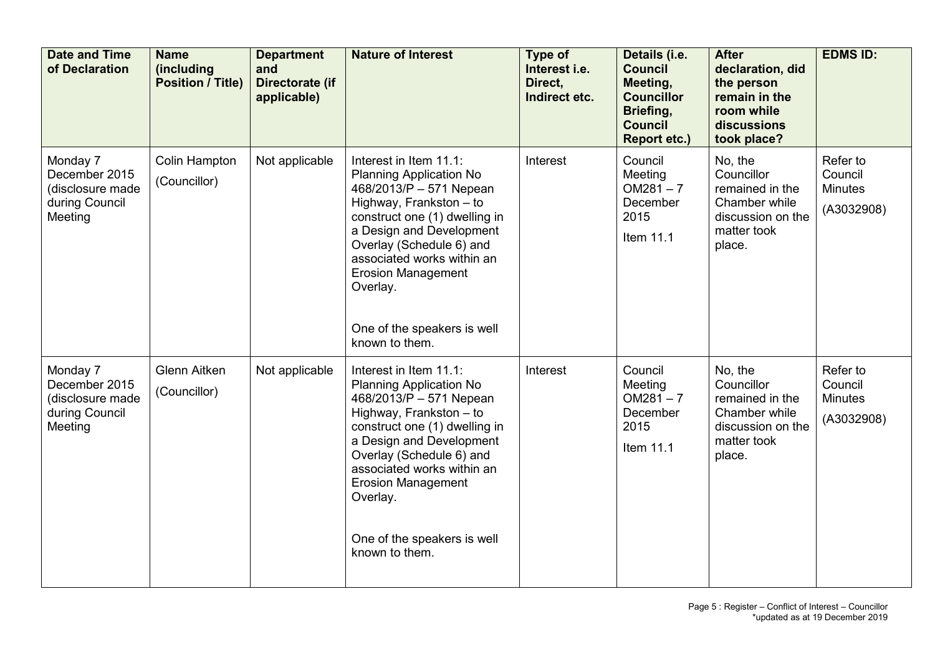| <b>Date and Time</b><br>of Declaration                                     | <b>Name</b><br>(including<br><b>Position / Title)</b> | <b>Department</b><br>and<br>Directorate (if<br>applicable) | <b>Nature of Interest</b>                                                                                                                                                                                                                                                                                                       | Type of<br>Interest i.e.<br>Direct.<br>Indirect etc. | Details (i.e.<br><b>Council</b><br>Meeting,<br><b>Councillor</b><br>Briefing,<br><b>Council</b><br><b>Report etc.)</b> | <b>After</b><br>declaration, did<br>the person<br>remain in the<br>room while<br>discussions<br>took place? | <b>EDMS ID:</b>                                     |
|----------------------------------------------------------------------------|-------------------------------------------------------|------------------------------------------------------------|---------------------------------------------------------------------------------------------------------------------------------------------------------------------------------------------------------------------------------------------------------------------------------------------------------------------------------|------------------------------------------------------|------------------------------------------------------------------------------------------------------------------------|-------------------------------------------------------------------------------------------------------------|-----------------------------------------------------|
| Monday 7<br>December 2015<br>(disclosure made<br>during Council<br>Meeting | <b>Colin Hampton</b><br>(Councillor)                  | Not applicable                                             | Interest in Item 11.1:<br><b>Planning Application No</b><br>468/2013/P - 571 Nepean<br>Highway, Frankston - to<br>construct one (1) dwelling in<br>a Design and Development<br>Overlay (Schedule 6) and<br>associated works within an<br><b>Erosion Management</b><br>Overlay.<br>One of the speakers is well<br>known to them. | Interest                                             | Council<br>Meeting<br>$OM281 - 7$<br>December<br>2015<br>Item 11.1                                                     | No, the<br>Councillor<br>remained in the<br>Chamber while<br>discussion on the<br>matter took<br>place.     | Refer to<br>Council<br><b>Minutes</b><br>(A3032908) |
| Monday 7<br>December 2015<br>(disclosure made<br>during Council<br>Meeting | <b>Glenn Aitken</b><br>(Councillor)                   | Not applicable                                             | Interest in Item 11.1:<br><b>Planning Application No</b><br>468/2013/P - 571 Nepean<br>Highway, Frankston - to<br>construct one (1) dwelling in<br>a Design and Development<br>Overlay (Schedule 6) and<br>associated works within an<br><b>Erosion Management</b><br>Overlay.<br>One of the speakers is well<br>known to them. | Interest                                             | Council<br>Meeting<br>$OM281 - 7$<br>December<br>2015<br>Item 11.1                                                     | No, the<br>Councillor<br>remained in the<br>Chamber while<br>discussion on the<br>matter took<br>place.     | Refer to<br>Council<br><b>Minutes</b><br>(A3032908) |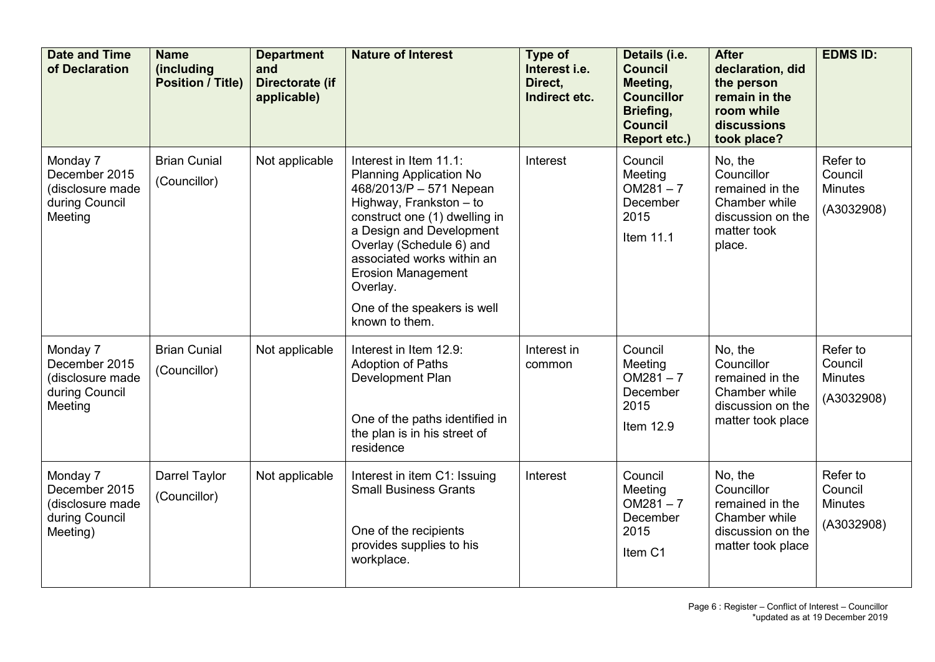| <b>Date and Time</b><br>of Declaration                                      | <b>Name</b><br>(including<br><b>Position / Title)</b> | <b>Department</b><br>and<br>Directorate (if<br>applicable) | <b>Nature of Interest</b>                                                                                                                                                                                                                                                                                                       | Type of<br>Interest i.e.<br>Direct.<br>Indirect etc. | Details (i.e.<br><b>Council</b><br>Meeting,<br><b>Councillor</b><br>Briefing,<br><b>Council</b><br><b>Report etc.)</b> | <b>After</b><br>declaration, did<br>the person<br>remain in the<br>room while<br>discussions<br>took place? | <b>EDMS ID:</b>                                     |
|-----------------------------------------------------------------------------|-------------------------------------------------------|------------------------------------------------------------|---------------------------------------------------------------------------------------------------------------------------------------------------------------------------------------------------------------------------------------------------------------------------------------------------------------------------------|------------------------------------------------------|------------------------------------------------------------------------------------------------------------------------|-------------------------------------------------------------------------------------------------------------|-----------------------------------------------------|
| Monday 7<br>December 2015<br>(disclosure made<br>during Council<br>Meeting  | <b>Brian Cunial</b><br>(Councillor)                   | Not applicable                                             | Interest in Item 11.1:<br><b>Planning Application No</b><br>468/2013/P - 571 Nepean<br>Highway, Frankston - to<br>construct one (1) dwelling in<br>a Design and Development<br>Overlay (Schedule 6) and<br>associated works within an<br><b>Erosion Management</b><br>Overlay.<br>One of the speakers is well<br>known to them. | Interest                                             | Council<br>Meeting<br>$OM281 - 7$<br>December<br>2015<br>Item 11.1                                                     | No, the<br>Councillor<br>remained in the<br>Chamber while<br>discussion on the<br>matter took<br>place.     | Refer to<br>Council<br><b>Minutes</b><br>(A3032908) |
| Monday 7<br>December 2015<br>(disclosure made<br>during Council<br>Meeting  | <b>Brian Cunial</b><br>(Councillor)                   | Not applicable                                             | Interest in Item 12.9:<br><b>Adoption of Paths</b><br>Development Plan<br>One of the paths identified in<br>the plan is in his street of<br>residence                                                                                                                                                                           | Interest in<br>common                                | Council<br>Meeting<br>$OM281 - 7$<br>December<br>2015<br>Item 12.9                                                     | No, the<br>Councillor<br>remained in the<br>Chamber while<br>discussion on the<br>matter took place         | Refer to<br>Council<br><b>Minutes</b><br>(A3032908) |
| Monday 7<br>December 2015<br>(disclosure made<br>during Council<br>Meeting) | Darrel Taylor<br>(Councillor)                         | Not applicable                                             | Interest in item C1: Issuing<br><b>Small Business Grants</b><br>One of the recipients<br>provides supplies to his<br>workplace.                                                                                                                                                                                                 | Interest                                             | Council<br>Meeting<br>$OM281 - 7$<br>December<br>2015<br>Item C1                                                       | No, the<br>Councillor<br>remained in the<br>Chamber while<br>discussion on the<br>matter took place         | Refer to<br>Council<br><b>Minutes</b><br>(A3032908) |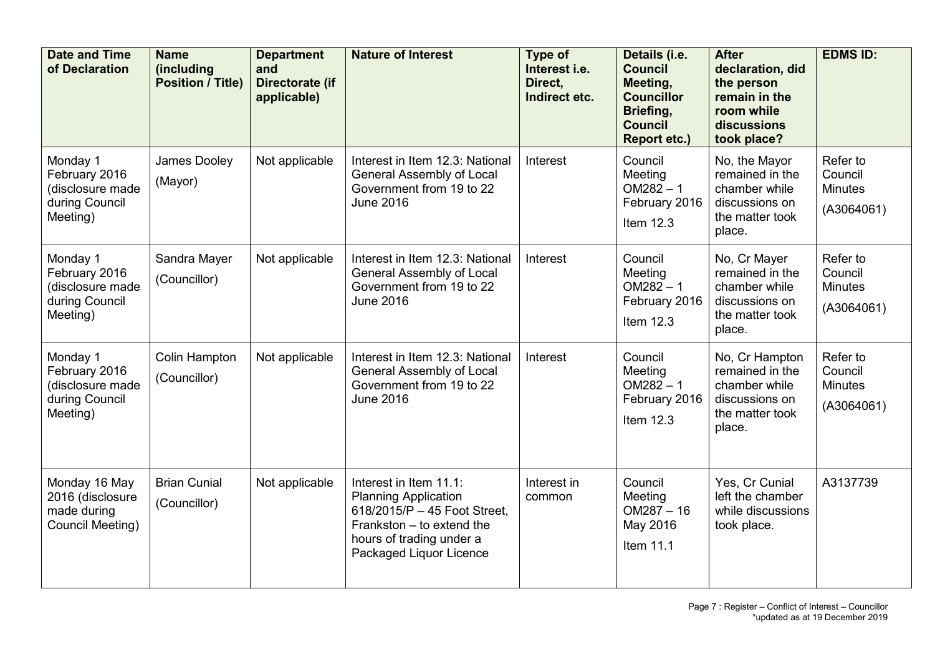| <b>Date and Time</b><br>of Declaration                                      | <b>Name</b><br>(including<br><b>Position / Title)</b> | <b>Department</b><br>and<br>Directorate (if<br>applicable) | <b>Nature of Interest</b>                                                                                                                                                 | Type of<br>Interest i.e.<br>Direct.<br>Indirect etc. | Details (i.e.<br><b>Council</b><br>Meeting,<br><b>Councillor</b><br>Briefing,<br><b>Council</b><br><b>Report etc.)</b> | <b>After</b><br>declaration, did<br>the person<br>remain in the<br>room while<br>discussions<br>took place? | <b>EDMS ID:</b>                                     |
|-----------------------------------------------------------------------------|-------------------------------------------------------|------------------------------------------------------------|---------------------------------------------------------------------------------------------------------------------------------------------------------------------------|------------------------------------------------------|------------------------------------------------------------------------------------------------------------------------|-------------------------------------------------------------------------------------------------------------|-----------------------------------------------------|
| Monday 1<br>February 2016<br>(disclosure made<br>during Council<br>Meeting) | <b>James Dooley</b><br>(Mayor)                        | Not applicable                                             | Interest in Item 12.3: National<br>General Assembly of Local<br>Government from 19 to 22<br><b>June 2016</b>                                                              | Interest                                             | Council<br>Meeting<br>$OM282 - 1$<br>February 2016<br>Item 12.3                                                        | No, the Mayor<br>remained in the<br>chamber while<br>discussions on<br>the matter took<br>place.            | Refer to<br>Council<br><b>Minutes</b><br>(A3064061) |
| Monday 1<br>February 2016<br>(disclosure made<br>during Council<br>Meeting) | Sandra Mayer<br>(Councillor)                          | Not applicable                                             | Interest in Item 12.3: National<br><b>General Assembly of Local</b><br>Government from 19 to 22<br><b>June 2016</b>                                                       | Interest                                             | Council<br>Meeting<br>$OM282 - 1$<br>February 2016<br>Item 12.3                                                        | No, Cr Mayer<br>remained in the<br>chamber while<br>discussions on<br>the matter took<br>place.             | Refer to<br>Council<br><b>Minutes</b><br>(A3064061) |
| Monday 1<br>February 2016<br>(disclosure made<br>during Council<br>Meeting) | <b>Colin Hampton</b><br>(Councillor)                  | Not applicable                                             | Interest in Item 12.3: National<br><b>General Assembly of Local</b><br>Government from 19 to 22<br><b>June 2016</b>                                                       | Interest                                             | Council<br>Meeting<br>$OM282 - 1$<br>February 2016<br>Item 12.3                                                        | No, Cr Hampton<br>remained in the<br>chamber while<br>discussions on<br>the matter took<br>place.           | Refer to<br>Council<br><b>Minutes</b><br>(A3064061) |
| Monday 16 May<br>2016 (disclosure<br>made during<br>Council Meeting)        | <b>Brian Cunial</b><br>(Councillor)                   | Not applicable                                             | Interest in Item 11.1:<br><b>Planning Application</b><br>618/2015/P - 45 Foot Street,<br>Frankston - to extend the<br>hours of trading under a<br>Packaged Liquor Licence | Interest in<br>common                                | Council<br>Meeting<br>$OM287 - 16$<br>May 2016<br>Item 11.1                                                            | Yes, Cr Cunial<br>left the chamber<br>while discussions<br>took place.                                      | A3137739                                            |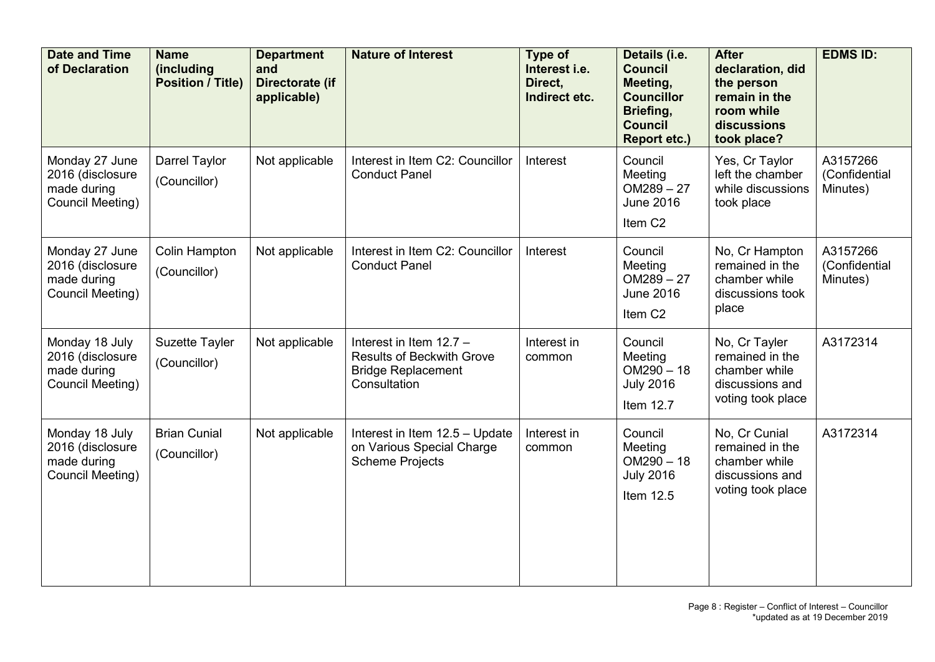| <b>Date and Time</b><br>of Declaration                                | <b>Name</b><br>(including<br><b>Position / Title)</b> | <b>Department</b><br>and<br>Directorate (if<br>applicable) | <b>Nature of Interest</b>                                                                                | Type of<br>Interest i.e.<br>Direct,<br>Indirect etc. | Details (i.e.<br><b>Council</b><br>Meeting,<br><b>Councillor</b><br>Briefing,<br><b>Council</b><br><b>Report etc.)</b> | <b>After</b><br>declaration, did<br>the person<br>remain in the<br>room while<br>discussions<br>took place? | <b>EDMS ID:</b>                       |
|-----------------------------------------------------------------------|-------------------------------------------------------|------------------------------------------------------------|----------------------------------------------------------------------------------------------------------|------------------------------------------------------|------------------------------------------------------------------------------------------------------------------------|-------------------------------------------------------------------------------------------------------------|---------------------------------------|
| Monday 27 June<br>2016 (disclosure<br>made during<br>Council Meeting) | Darrel Taylor<br>(Councillor)                         | Not applicable                                             | Interest in Item C2: Councillor<br><b>Conduct Panel</b>                                                  | Interest                                             | Council<br>Meeting<br>$OM289 - 27$<br><b>June 2016</b><br>Item C <sub>2</sub>                                          | Yes, Cr Taylor<br>left the chamber<br>while discussions<br>took place                                       | A3157266<br>(Confidential<br>Minutes) |
| Monday 27 June<br>2016 (disclosure<br>made during<br>Council Meeting) | <b>Colin Hampton</b><br>(Councillor)                  | Not applicable                                             | Interest in Item C2: Councillor<br><b>Conduct Panel</b>                                                  | Interest                                             | Council<br>Meeting<br>$OM289 - 27$<br><b>June 2016</b><br>Item C <sub>2</sub>                                          | No, Cr Hampton<br>remained in the<br>chamber while<br>discussions took<br>place                             | A3157266<br>(Confidential<br>Minutes) |
| Monday 18 July<br>2016 (disclosure<br>made during<br>Council Meeting) | Suzette Tayler<br>(Councillor)                        | Not applicable                                             | Interest in Item 12.7 -<br><b>Results of Beckwith Grove</b><br><b>Bridge Replacement</b><br>Consultation | Interest in<br>common                                | Council<br>Meeting<br>$OM290 - 18$<br><b>July 2016</b><br>Item 12.7                                                    | No, Cr Tayler<br>remained in the<br>chamber while<br>discussions and<br>voting took place                   | A3172314                              |
| Monday 18 July<br>2016 (disclosure<br>made during<br>Council Meeting) | <b>Brian Cunial</b><br>(Councillor)                   | Not applicable                                             | Interest in Item 12.5 - Update<br>on Various Special Charge<br><b>Scheme Projects</b>                    | Interest in<br>common                                | Council<br>Meeting<br>$OM290 - 18$<br><b>July 2016</b><br>Item 12.5                                                    | No, Cr Cunial<br>remained in the<br>chamber while<br>discussions and<br>voting took place                   | A3172314                              |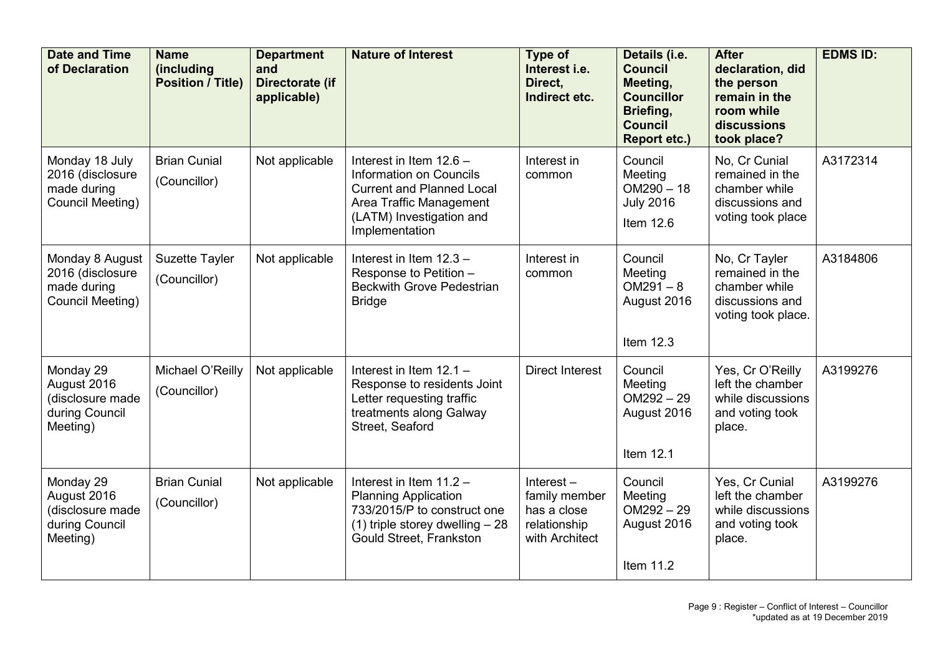| <b>Date and Time</b><br>of Declaration                                     | <b>Name</b><br>(including<br><b>Position / Title)</b> | <b>Department</b><br>and<br>Directorate (if<br>applicable) | <b>Nature of Interest</b>                                                                                                                                              | Type of<br>Interest i.e.<br>Direct.<br>Indirect etc.                           | Details (i.e.<br><b>Council</b><br>Meeting,<br><b>Councillor</b><br>Briefing,<br><b>Council</b><br><b>Report etc.)</b> | <b>After</b><br>declaration, did<br>the person<br>remain in the<br>room while<br>discussions<br>took place? | <b>EDMS ID:</b> |
|----------------------------------------------------------------------------|-------------------------------------------------------|------------------------------------------------------------|------------------------------------------------------------------------------------------------------------------------------------------------------------------------|--------------------------------------------------------------------------------|------------------------------------------------------------------------------------------------------------------------|-------------------------------------------------------------------------------------------------------------|-----------------|
| Monday 18 July<br>2016 (disclosure<br>made during<br>Council Meeting)      | <b>Brian Cunial</b><br>(Councillor)                   | Not applicable                                             | Interest in Item 12.6 -<br><b>Information on Councils</b><br><b>Current and Planned Local</b><br>Area Traffic Management<br>(LATM) Investigation and<br>Implementation | Interest in<br>common                                                          | Council<br>Meeting<br>$OM290 - 18$<br><b>July 2016</b><br>Item 12.6                                                    | No, Cr Cunial<br>remained in the<br>chamber while<br>discussions and<br>voting took place                   | A3172314        |
| Monday 8 August<br>2016 (disclosure<br>made during<br>Council Meeting)     | <b>Suzette Tayler</b><br>(Councillor)                 | Not applicable                                             | Interest in Item 12.3 -<br>Response to Petition -<br><b>Beckwith Grove Pedestrian</b><br><b>Bridge</b>                                                                 | Interest in<br>common                                                          | Council<br>Meeting<br>$OM291 - 8$<br>August 2016<br>Item 12.3                                                          | No, Cr Tayler<br>remained in the<br>chamber while<br>discussions and<br>voting took place.                  | A3184806        |
| Monday 29<br>August 2016<br>(disclosure made<br>during Council<br>Meeting) | Michael O'Reilly<br>(Councillor)                      | Not applicable                                             | Interest in Item 12.1 -<br>Response to residents Joint<br>Letter requesting traffic<br>treatments along Galway<br>Street, Seaford                                      | <b>Direct Interest</b>                                                         | Council<br>Meeting<br>$OM292 - 29$<br>August 2016<br>Item 12.1                                                         | Yes, Cr O'Reilly<br>left the chamber<br>while discussions<br>and voting took<br>place.                      | A3199276        |
| Monday 29<br>August 2016<br>(disclosure made<br>during Council<br>Meeting) | <b>Brian Cunial</b><br>(Councillor)                   | Not applicable                                             | Interest in Item 11.2 -<br><b>Planning Application</b><br>733/2015/P to construct one<br>$(1)$ triple storey dwelling $-28$<br>Gould Street, Frankston                 | Interest $-$<br>family member<br>has a close<br>relationship<br>with Architect | Council<br>Meeting<br>$OM292 - 29$<br>August 2016<br>Item 11.2                                                         | Yes, Cr Cunial<br>left the chamber<br>while discussions<br>and voting took<br>place.                        | A3199276        |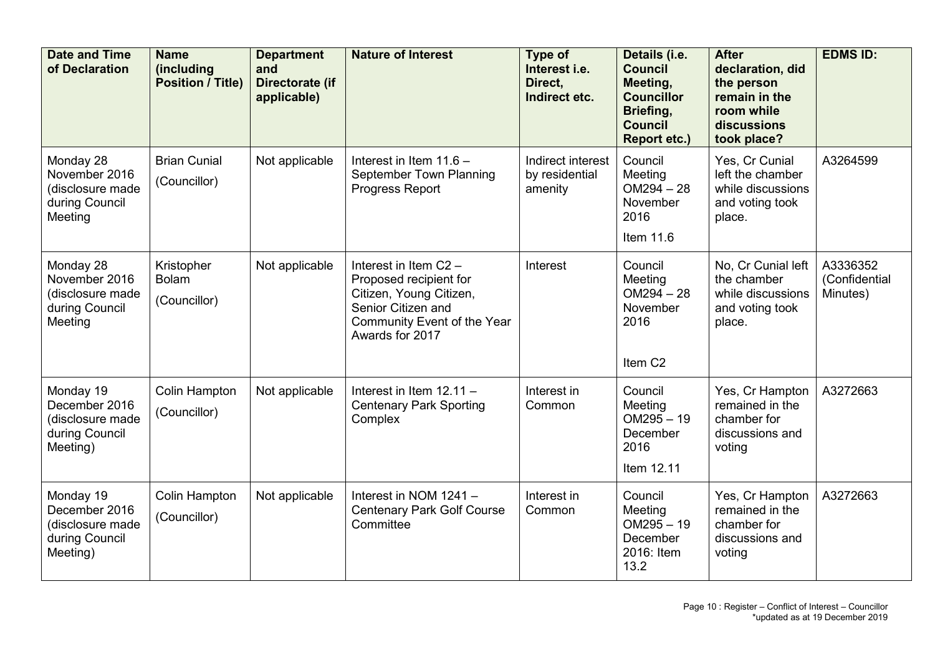| <b>Date and Time</b><br>of Declaration                                       | <b>Name</b><br><i>(including</i><br><b>Position / Title)</b> | <b>Department</b><br>and<br>Directorate (if<br>applicable) | <b>Nature of Interest</b>                                                                                                                          | <b>Type of</b><br>Interest i.e.<br>Direct.<br>Indirect etc. | Details (i.e.<br><b>Council</b><br>Meeting,<br><b>Councillor</b><br>Briefing,<br><b>Council</b><br><b>Report etc.)</b> | <b>After</b><br>declaration, did<br>the person<br>remain in the<br>room while<br>discussions<br>took place? | <b>EDMS ID:</b>                       |
|------------------------------------------------------------------------------|--------------------------------------------------------------|------------------------------------------------------------|----------------------------------------------------------------------------------------------------------------------------------------------------|-------------------------------------------------------------|------------------------------------------------------------------------------------------------------------------------|-------------------------------------------------------------------------------------------------------------|---------------------------------------|
| Monday 28<br>November 2016<br>(disclosure made<br>during Council<br>Meeting  | <b>Brian Cunial</b><br>(Councillor)                          | Not applicable                                             | Interest in Item $11.6 -$<br>September Town Planning<br>Progress Report                                                                            | Indirect interest<br>by residential<br>amenity              | Council<br>Meeting<br>$OM294 - 28$<br>November<br>2016<br>Item 11.6                                                    | Yes, Cr Cunial<br>left the chamber<br>while discussions<br>and voting took<br>place.                        | A3264599                              |
| Monday 28<br>November 2016<br>(disclosure made<br>during Council<br>Meeting  | Kristopher<br><b>Bolam</b><br>(Councillor)                   | Not applicable                                             | Interest in Item C2 -<br>Proposed recipient for<br>Citizen, Young Citizen,<br>Senior Citizen and<br>Community Event of the Year<br>Awards for 2017 | Interest                                                    | Council<br>Meeting<br>$OM294 - 28$<br>November<br>2016<br>Item C <sub>2</sub>                                          | No, Cr Cunial left<br>the chamber<br>while discussions<br>and voting took<br>place.                         | A3336352<br>(Confidential<br>Minutes) |
| Monday 19<br>December 2016<br>(disclosure made<br>during Council<br>Meeting) | <b>Colin Hampton</b><br>(Councillor)                         | Not applicable                                             | Interest in Item $12.11 -$<br><b>Centenary Park Sporting</b><br>Complex                                                                            | Interest in<br>Common                                       | Council<br>Meeting<br>$OM295 - 19$<br>December<br>2016<br>Item 12.11                                                   | Yes, Cr Hampton<br>remained in the<br>chamber for<br>discussions and<br>voting                              | A3272663                              |
| Monday 19<br>December 2016<br>(disclosure made<br>during Council<br>Meeting) | Colin Hampton<br>(Councillor)                                | Not applicable                                             | Interest in NOM 1241 -<br><b>Centenary Park Golf Course</b><br>Committee                                                                           | Interest in<br>Common                                       | Council<br>Meeting<br>$OM295 - 19$<br>December<br>2016: Item<br>13.2                                                   | Yes, Cr Hampton<br>remained in the<br>chamber for<br>discussions and<br>voting                              | A3272663                              |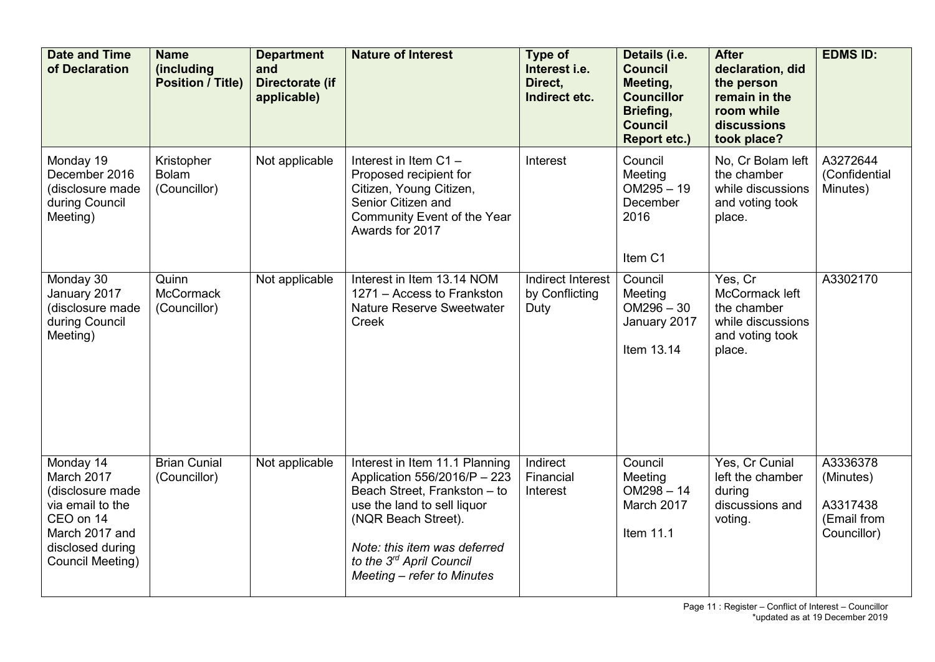| <b>Date and Time</b><br>of Declaration                                                                                                 | <b>Name</b><br>(including<br><b>Position / Title)</b> | <b>Department</b><br>and<br>Directorate (if<br>applicable) | <b>Nature of Interest</b>                                                                                                                                                                                                                      | <b>Type of</b><br>Interest i.e.<br>Direct,<br>Indirect etc. | Details (i.e.<br><b>Council</b><br>Meeting,<br><b>Councillor</b><br>Briefing,<br><b>Council</b><br><b>Report etc.)</b> | <b>After</b><br>declaration, did<br>the person<br>remain in the<br>room while<br>discussions<br>took place? | <b>EDMS ID:</b>                                                 |
|----------------------------------------------------------------------------------------------------------------------------------------|-------------------------------------------------------|------------------------------------------------------------|------------------------------------------------------------------------------------------------------------------------------------------------------------------------------------------------------------------------------------------------|-------------------------------------------------------------|------------------------------------------------------------------------------------------------------------------------|-------------------------------------------------------------------------------------------------------------|-----------------------------------------------------------------|
| Monday 19<br>December 2016<br>(disclosure made<br>during Council<br>Meeting)                                                           | Kristopher<br><b>Bolam</b><br>(Councillor)            | Not applicable                                             | Interest in Item C1-<br>Proposed recipient for<br>Citizen, Young Citizen,<br>Senior Citizen and<br>Community Event of the Year<br>Awards for 2017                                                                                              | Interest                                                    | Council<br>Meeting<br>$OM295 - 19$<br>December<br>2016<br>Item C1                                                      | No, Cr Bolam left<br>the chamber<br>while discussions<br>and voting took<br>place.                          | A3272644<br>(Confidential<br>Minutes)                           |
| Monday 30<br>January 2017<br>(disclosure made<br>during Council<br>Meeting)                                                            | Quinn<br><b>McCormack</b><br>(Councillor)             | Not applicable                                             | Interest in Item 13.14 NOM<br>1271 - Access to Frankston<br><b>Nature Reserve Sweetwater</b><br>Creek                                                                                                                                          | Indirect Interest<br>by Conflicting<br>Duty                 | Council<br>Meeting<br>$OM296 - 30$<br>January 2017<br>Item 13.14                                                       | Yes, Cr<br>McCormack left<br>the chamber<br>while discussions<br>and voting took<br>place.                  | A3302170                                                        |
| Monday 14<br>March 2017<br>(disclosure made<br>via email to the<br>CEO on 14<br>March 2017 and<br>disclosed during<br>Council Meeting) | <b>Brian Cunial</b><br>(Councillor)                   | Not applicable                                             | Interest in Item 11.1 Planning<br>Application 556/2016/P - 223<br>Beach Street, Frankston - to<br>use the land to sell liquor<br>(NQR Beach Street).<br>Note: this item was deferred<br>to the 3rd April Council<br>Meeting - refer to Minutes | Indirect<br>Financial<br>Interest                           | Council<br>Meeting<br>$OM298 - 14$<br>March 2017<br>Item 11.1                                                          | Yes, Cr Cunial<br>left the chamber<br>during<br>discussions and<br>voting.                                  | A3336378<br>(Minutes)<br>A3317438<br>(Email from<br>Councillor) |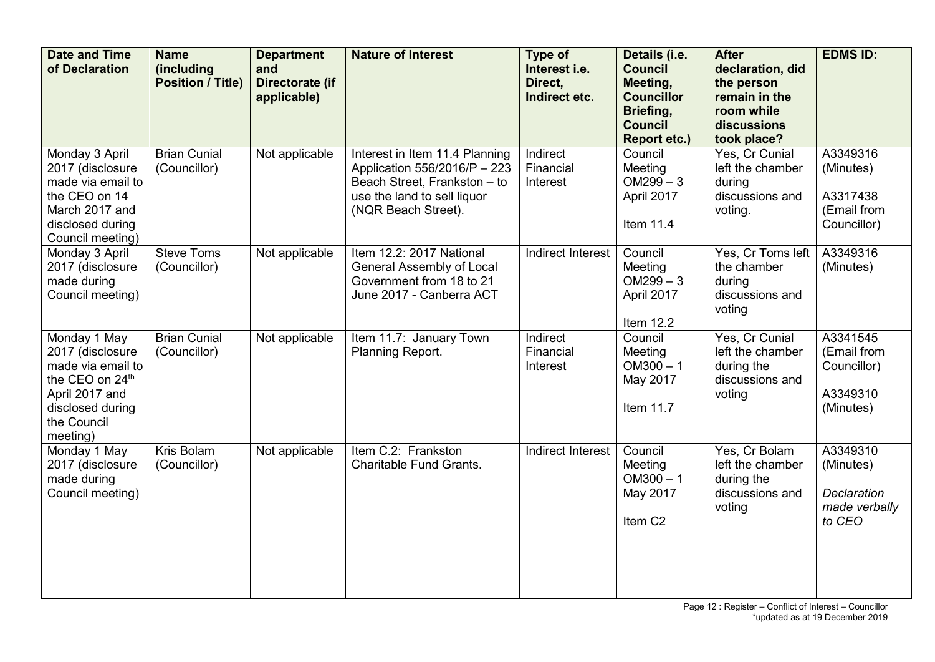| <b>Date and Time</b><br>of Declaration                                                                                                    | <b>Name</b><br>(including<br><b>Position / Title)</b> | <b>Department</b><br>and<br>Directorate (if<br>applicable) | <b>Nature of Interest</b>                                                                                                                            | Type of<br>Interest i.e.<br>Direct,<br>Indirect etc. | Details (i.e.<br><b>Council</b><br>Meeting,<br><b>Councillor</b><br>Briefing,<br><b>Council</b><br><b>Report etc.)</b> | <b>After</b><br>declaration, did<br>the person<br>remain in the<br>room while<br>discussions<br>took place? | <b>EDMS ID:</b>                                                        |
|-------------------------------------------------------------------------------------------------------------------------------------------|-------------------------------------------------------|------------------------------------------------------------|------------------------------------------------------------------------------------------------------------------------------------------------------|------------------------------------------------------|------------------------------------------------------------------------------------------------------------------------|-------------------------------------------------------------------------------------------------------------|------------------------------------------------------------------------|
| Monday 3 April<br>2017 (disclosure<br>made via email to<br>the CEO on 14<br>March 2017 and<br>disclosed during<br>Council meeting)        | <b>Brian Cunial</b><br>(Councillor)                   | Not applicable                                             | Interest in Item 11.4 Planning<br>Application 556/2016/P - 223<br>Beach Street, Frankston - to<br>use the land to sell liquor<br>(NQR Beach Street). | Indirect<br>Financial<br>Interest                    | Council<br>Meeting<br>$OM299 - 3$<br>April 2017<br>Item 11.4                                                           | Yes, Cr Cunial<br>left the chamber<br>during<br>discussions and<br>voting.                                  | A3349316<br>(Minutes)<br>A3317438<br>(Email from<br>Councillor)        |
| Monday 3 April<br>2017 (disclosure<br>made during<br>Council meeting)                                                                     | <b>Steve Toms</b><br>(Councillor)                     | Not applicable                                             | Item 12.2: 2017 National<br>General Assembly of Local<br>Government from 18 to 21<br>June 2017 - Canberra ACT                                        | Indirect Interest                                    | Council<br>Meeting<br>$OM299 - 3$<br>April 2017<br>Item 12.2                                                           | Yes, Cr Toms left<br>the chamber<br>during<br>discussions and<br>voting                                     | A3349316<br>(Minutes)                                                  |
| Monday 1 May<br>2017 (disclosure<br>made via email to<br>the CEO on 24th<br>April 2017 and<br>disclosed during<br>the Council<br>meeting) | <b>Brian Cunial</b><br>(Councillor)                   | Not applicable                                             | Item 11.7: January Town<br>Planning Report.                                                                                                          | Indirect<br>Financial<br>Interest                    | Council<br>Meeting<br>$OM300 - 1$<br>May 2017<br>Item 11.7                                                             | Yes, Cr Cunial<br>left the chamber<br>during the<br>discussions and<br>voting                               | A3341545<br>(Email from<br>Councillor)<br>A3349310<br>(Minutes)        |
| Monday 1 May<br>2017 (disclosure<br>made during<br>Council meeting)                                                                       | <b>Kris Bolam</b><br>(Councillor)                     | Not applicable                                             | Item C.2: Frankston<br><b>Charitable Fund Grants.</b>                                                                                                | Indirect Interest                                    | Council<br>Meeting<br>$OM300 - 1$<br>May 2017<br>Item C <sub>2</sub>                                                   | Yes, Cr Bolam<br>left the chamber<br>during the<br>discussions and<br>voting                                | A3349310<br>(Minutes)<br><b>Declaration</b><br>made verbally<br>to CEO |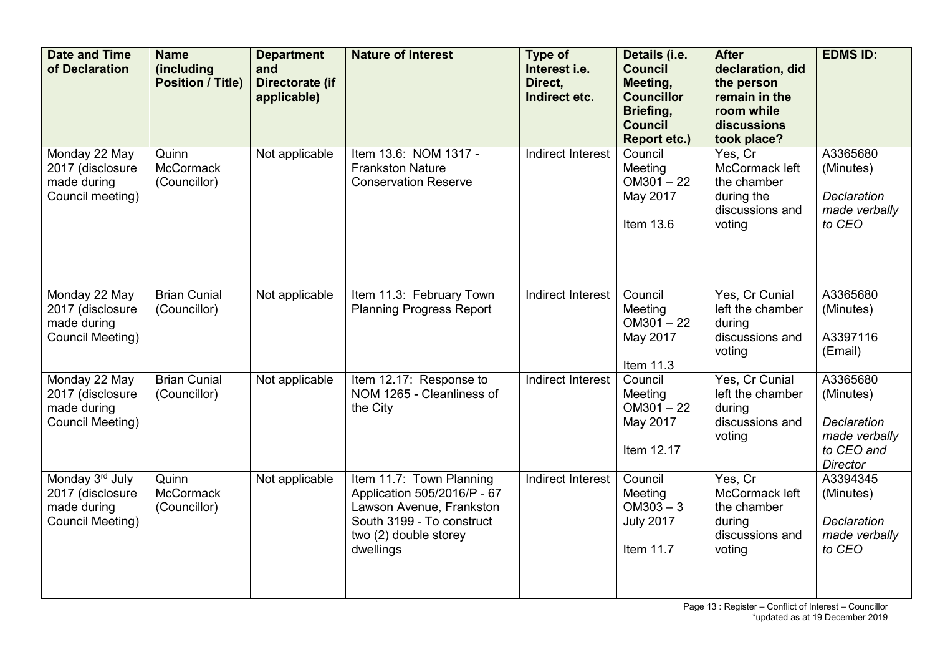| <b>Date and Time</b><br>of Declaration                                 | <b>Name</b><br><i>(including)</i><br><b>Position / Title)</b> | <b>Department</b><br>and<br>Directorate (if<br>applicable) | <b>Nature of Interest</b>                                                                                                                              | Type of<br>Interest i.e.<br>Direct,<br>Indirect etc. | Details (i.e.<br><b>Council</b><br>Meeting,<br><b>Councillor</b><br>Briefing,<br><b>Council</b><br><b>Report etc.)</b> | <b>After</b><br>declaration, did<br>the person<br>remain in the<br>room while<br>discussions<br>took place? | <b>EDMS ID:</b>                                                                        |
|------------------------------------------------------------------------|---------------------------------------------------------------|------------------------------------------------------------|--------------------------------------------------------------------------------------------------------------------------------------------------------|------------------------------------------------------|------------------------------------------------------------------------------------------------------------------------|-------------------------------------------------------------------------------------------------------------|----------------------------------------------------------------------------------------|
| Monday 22 May<br>2017 (disclosure<br>made during<br>Council meeting)   | Quinn<br><b>McCormack</b><br>(Councillor)                     | Not applicable                                             | Item 13.6: NOM 1317 -<br><b>Frankston Nature</b><br><b>Conservation Reserve</b>                                                                        | Indirect Interest                                    | Council<br>Meeting<br>$OM301 - 22$<br>May 2017<br>Item 13.6                                                            | Yes, Cr<br>McCormack left<br>the chamber<br>during the<br>discussions and<br>voting                         | A3365680<br>(Minutes)<br><b>Declaration</b><br>made verbally<br>to CEO                 |
| Monday 22 May<br>2017 (disclosure<br>made during<br>Council Meeting)   | <b>Brian Cunial</b><br>(Councillor)                           | Not applicable                                             | Item 11.3: February Town<br><b>Planning Progress Report</b>                                                                                            | Indirect Interest                                    | Council<br>Meeting<br>$OM301 - 22$<br>May 2017<br>Item 11.3                                                            | Yes, Cr Cunial<br>left the chamber<br>during<br>discussions and<br>voting                                   | A3365680<br>(Minutes)<br>A3397116<br>(Email)                                           |
| Monday 22 May<br>2017 (disclosure<br>made during<br>Council Meeting)   | <b>Brian Cunial</b><br>(Councillor)                           | Not applicable                                             | Item 12.17: Response to<br>NOM 1265 - Cleanliness of<br>the City                                                                                       | <b>Indirect Interest</b>                             | Council<br>Meeting<br>$OM301 - 22$<br>May 2017<br>Item 12.17                                                           | Yes, Cr Cunial<br>left the chamber<br>during<br>discussions and<br>voting                                   | A3365680<br>(Minutes)<br>Declaration<br>made verbally<br>to CEO and<br><b>Director</b> |
| Monday 3rd July<br>2017 (disclosure<br>made during<br>Council Meeting) | Quinn<br><b>McCormack</b><br>(Councillor)                     | Not applicable                                             | Item 11.7: Town Planning<br>Application 505/2016/P - 67<br>Lawson Avenue, Frankston<br>South 3199 - To construct<br>two (2) double storey<br>dwellings | Indirect Interest                                    | Council<br>Meeting<br>$OM303 - 3$<br><b>July 2017</b><br>Item 11.7                                                     | Yes, Cr<br>McCormack left<br>the chamber<br>during<br>discussions and<br>voting                             | A3394345<br>(Minutes)<br>Declaration<br>made verbally<br>to CEO                        |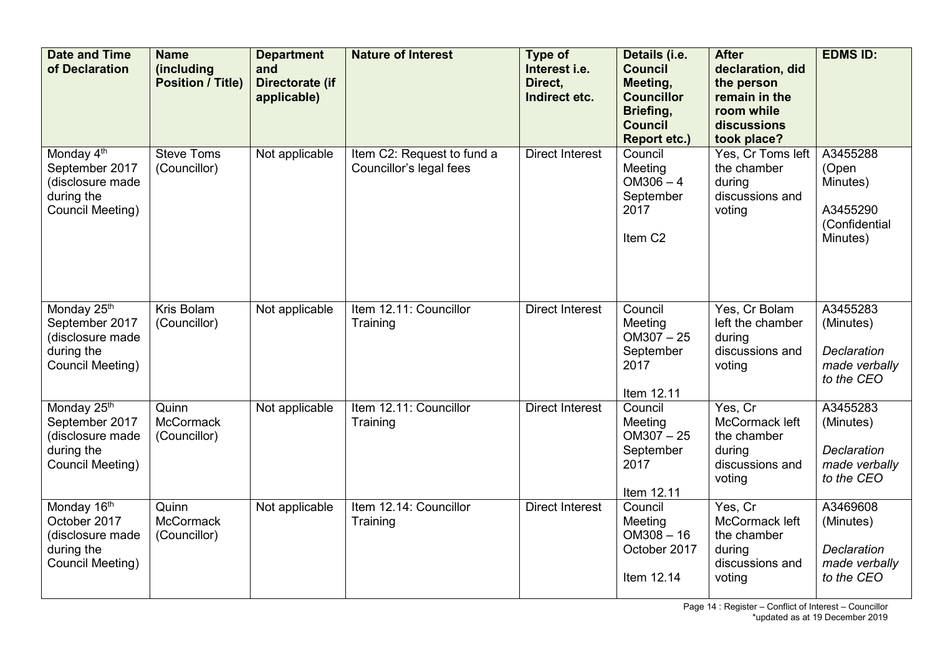| <b>Date and Time</b><br>of Declaration                                                         | <b>Name</b><br><i>(including)</i><br><b>Position / Title)</b> | <b>Department</b><br>and<br>Directorate (if<br>applicable) | <b>Nature of Interest</b>                             | Type of<br>Interest i.e.<br>Direct.<br>Indirect etc. | Details (i.e.<br><b>Council</b><br>Meeting,<br><b>Councillor</b><br>Briefing,<br><b>Council</b><br><b>Report etc.)</b> | <b>After</b><br>declaration, did<br>the person<br>remain in the<br>room while<br>discussions<br>took place? | <b>EDMS ID:</b>                                                            |
|------------------------------------------------------------------------------------------------|---------------------------------------------------------------|------------------------------------------------------------|-------------------------------------------------------|------------------------------------------------------|------------------------------------------------------------------------------------------------------------------------|-------------------------------------------------------------------------------------------------------------|----------------------------------------------------------------------------|
| Monday 4 <sup>th</sup><br>September 2017<br>(disclosure made<br>during the<br>Council Meeting) | <b>Steve Toms</b><br>(Councillor)                             | Not applicable                                             | Item C2: Request to fund a<br>Councillor's legal fees | <b>Direct Interest</b>                               | Council<br>Meeting<br>$OM306 - 4$<br>September<br>2017<br>Item C <sub>2</sub>                                          | Yes, Cr Toms left<br>the chamber<br>during<br>discussions and<br>voting                                     | A3455288<br>(Open<br>Minutes)<br>A3455290<br>(Confidential<br>Minutes)     |
| Monday 25th<br>September 2017<br>(disclosure made<br>during the<br>Council Meeting)            | Kris Bolam<br>(Councillor)                                    | Not applicable                                             | Item 12.11: Councillor<br>Training                    | <b>Direct Interest</b>                               | Council<br>Meeting<br>$OM307 - 25$<br>September<br>2017<br>Item 12.11                                                  | Yes, Cr Bolam<br>left the chamber<br>during<br>discussions and<br>voting                                    | A3455283<br>(Minutes)<br>Declaration<br>made verbally<br>to the CEO        |
| Monday 25th<br>September 2017<br>(disclosure made<br>during the<br>Council Meeting)            | Quinn<br><b>McCormack</b><br>(Councillor)                     | Not applicable                                             | Item 12.11: Councillor<br>Training                    | <b>Direct Interest</b>                               | Council<br>Meeting<br>$OM307 - 25$<br>September<br>2017<br>Item 12.11                                                  | Yes, Cr<br>McCormack left<br>the chamber<br>during<br>discussions and<br>voting                             | A3455283<br>(Minutes)<br><b>Declaration</b><br>made verbally<br>to the CEO |
| Monday 16 <sup>th</sup><br>October 2017<br>(disclosure made<br>during the<br>Council Meeting)  | Quinn<br><b>McCormack</b><br>(Councillor)                     | Not applicable                                             | Item 12.14: Councillor<br>Training                    | <b>Direct Interest</b>                               | Council<br>Meeting<br>$OM308 - 16$<br>October 2017<br>Item 12.14                                                       | Yes, Cr<br>McCormack left<br>the chamber<br>during<br>discussions and<br>voting                             | A3469608<br>(Minutes)<br>Declaration<br>made verbally<br>to the CEO        |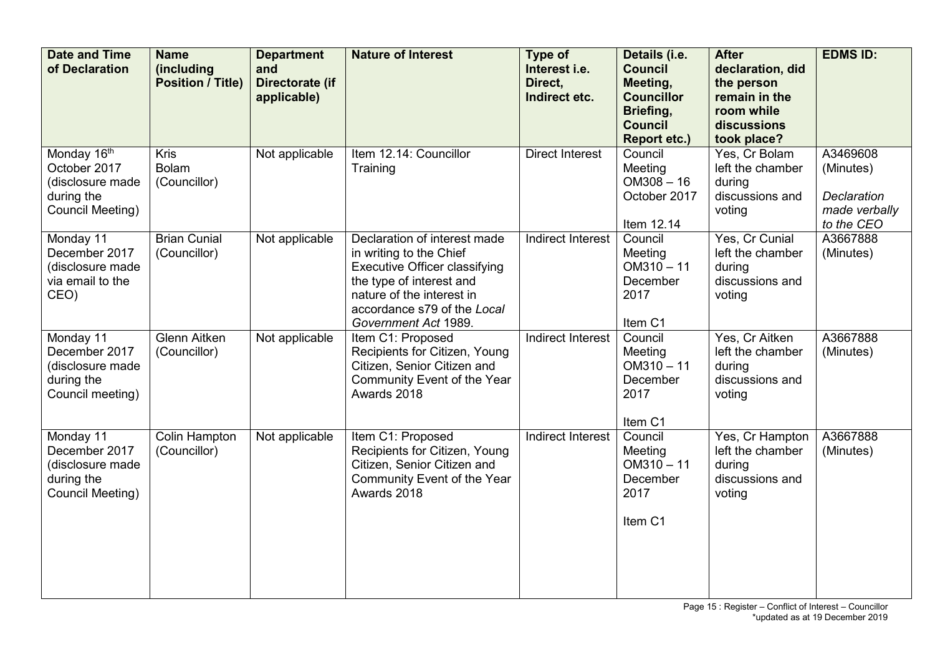| <b>Date and Time</b><br>of Declaration                                            | <b>Name</b><br>(including<br><b>Position / Title)</b> | <b>Department</b><br>and<br>Directorate (if<br>applicable) | <b>Nature of Interest</b>                                                                                                                                                                                       | Type of<br>Interest i.e.<br>Direct,<br>Indirect etc. | Details (i.e.<br><b>Council</b><br>Meeting,<br><b>Councillor</b><br>Briefing,<br><b>Council</b><br><b>Report etc.)</b> | <b>After</b><br>declaration, did<br>the person<br>remain in the<br>room while<br>discussions<br>took place? | <b>EDMS ID:</b>                                                     |
|-----------------------------------------------------------------------------------|-------------------------------------------------------|------------------------------------------------------------|-----------------------------------------------------------------------------------------------------------------------------------------------------------------------------------------------------------------|------------------------------------------------------|------------------------------------------------------------------------------------------------------------------------|-------------------------------------------------------------------------------------------------------------|---------------------------------------------------------------------|
| Monday 16th<br>October 2017<br>(disclosure made<br>during the<br>Council Meeting) | <b>Kris</b><br><b>Bolam</b><br>(Councillor)           | Not applicable                                             | Item 12.14: Councillor<br>Training                                                                                                                                                                              | <b>Direct Interest</b>                               | Council<br>Meeting<br>$OM308 - 16$<br>October 2017<br>Item 12.14                                                       | Yes, Cr Bolam<br>left the chamber<br>during<br>discussions and<br>voting                                    | A3469608<br>(Minutes)<br>Declaration<br>made verbally<br>to the CEO |
| Monday 11<br>December 2017<br>(disclosure made<br>via email to the<br>CEO)        | <b>Brian Cunial</b><br>(Councillor)                   | Not applicable                                             | Declaration of interest made<br>in writing to the Chief<br><b>Executive Officer classifying</b><br>the type of interest and<br>nature of the interest in<br>accordance s79 of the Local<br>Government Act 1989. | <b>Indirect Interest</b>                             | Council<br>Meeting<br>$OM310 - 11$<br>December<br>2017<br>Item C1                                                      | Yes, Cr Cunial<br>left the chamber<br>during<br>discussions and<br>voting                                   | A3667888<br>(Minutes)                                               |
| Monday 11<br>December 2017<br>(disclosure made<br>during the<br>Council meeting)  | <b>Glenn Aitken</b><br>(Councillor)                   | Not applicable                                             | Item C1: Proposed<br>Recipients for Citizen, Young<br>Citizen, Senior Citizen and<br>Community Event of the Year<br>Awards 2018                                                                                 | <b>Indirect Interest</b>                             | Council<br>Meeting<br>$OM310 - 11$<br>December<br>2017<br>Item C1                                                      | Yes, Cr Aitken<br>left the chamber<br>during<br>discussions and<br>voting                                   | A3667888<br>(Minutes)                                               |
| Monday 11<br>December 2017<br>(disclosure made<br>during the<br>Council Meeting)  | <b>Colin Hampton</b><br>(Councillor)                  | Not applicable                                             | Item C1: Proposed<br>Recipients for Citizen, Young<br>Citizen, Senior Citizen and<br>Community Event of the Year<br>Awards 2018                                                                                 | Indirect Interest                                    | Council<br>Meeting<br>$OM310 - 11$<br>December<br>2017<br>Item C1                                                      | Yes, Cr Hampton<br>left the chamber<br>during<br>discussions and<br>voting                                  | A3667888<br>(Minutes)                                               |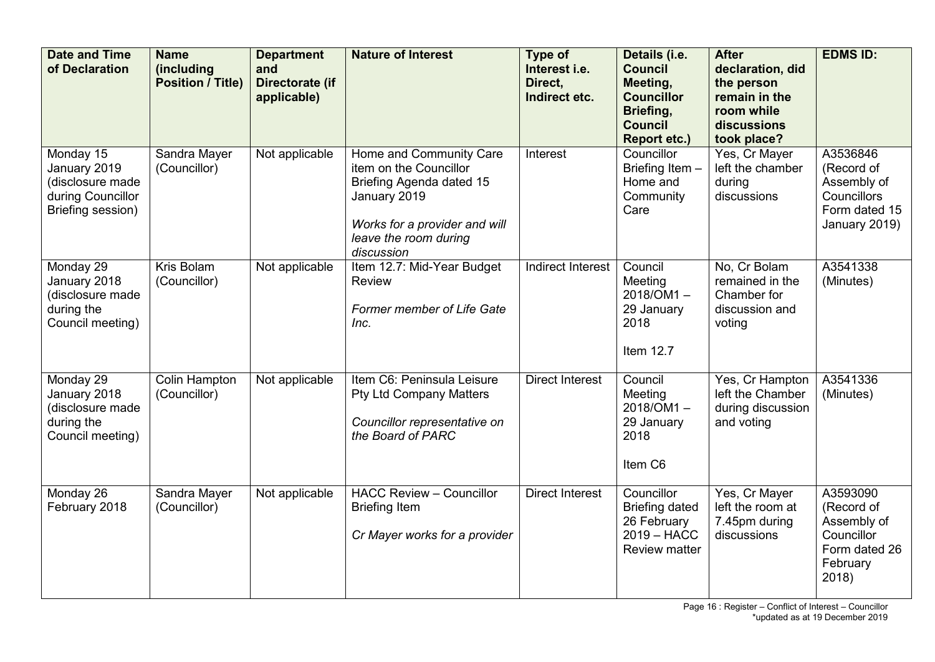| <b>Date and Time</b><br>of Declaration                                                  | <b>Name</b><br><i>(including)</i><br><b>Position / Title)</b> | <b>Department</b><br>and<br>Directorate (if<br>applicable) | <b>Nature of Interest</b>                                                                                                                                             | Type of<br>Interest i.e.<br>Direct,<br>Indirect etc. | Details (i.e.<br><b>Council</b><br>Meeting,<br><b>Councillor</b><br>Briefing,<br><b>Council</b><br><b>Report etc.)</b> | <b>After</b><br>declaration, did<br>the person<br>remain in the<br>room while<br>discussions<br>took place? | <b>EDMS ID:</b>                                                                           |
|-----------------------------------------------------------------------------------------|---------------------------------------------------------------|------------------------------------------------------------|-----------------------------------------------------------------------------------------------------------------------------------------------------------------------|------------------------------------------------------|------------------------------------------------------------------------------------------------------------------------|-------------------------------------------------------------------------------------------------------------|-------------------------------------------------------------------------------------------|
| Monday 15<br>January 2019<br>(disclosure made<br>during Councillor<br>Briefing session) | Sandra Mayer<br>(Councillor)                                  | Not applicable                                             | Home and Community Care<br>item on the Councillor<br>Briefing Agenda dated 15<br>January 2019<br>Works for a provider and will<br>leave the room during<br>discussion | Interest                                             | Councillor<br>Briefing Item -<br>Home and<br>Community<br>Care                                                         | Yes, Cr Mayer<br>left the chamber<br>during<br>discussions                                                  | A3536846<br>(Record of<br>Assembly of<br>Councillors<br>Form dated 15<br>January 2019)    |
| Monday 29<br>January 2018<br>(disclosure made<br>during the<br>Council meeting)         | Kris Bolam<br>(Councillor)                                    | Not applicable                                             | Item 12.7: Mid-Year Budget<br>Review<br>Former member of Life Gate<br>Inc.                                                                                            | <b>Indirect Interest</b>                             | Council<br>Meeting<br>$2018/OM1 -$<br>29 January<br>2018<br>Item 12.7                                                  | No, Cr Bolam<br>remained in the<br>Chamber for<br>discussion and<br>voting                                  | A3541338<br>(Minutes)                                                                     |
| Monday 29<br>January 2018<br>(disclosure made<br>during the<br>Council meeting)         | Colin Hampton<br>(Councillor)                                 | Not applicable                                             | Item C6: Peninsula Leisure<br><b>Pty Ltd Company Matters</b><br>Councillor representative on<br>the Board of PARC                                                     | <b>Direct Interest</b>                               | Council<br>Meeting<br>$2018$ /OM1 $-$<br>29 January<br>2018<br>Item C6                                                 | Yes, Cr Hampton<br>left the Chamber<br>during discussion<br>and voting                                      | A3541336<br>(Minutes)                                                                     |
| Monday 26<br>February 2018                                                              | Sandra Mayer<br>(Councillor)                                  | Not applicable                                             | <b>HACC Review - Councillor</b><br><b>Briefing Item</b><br>Cr Mayer works for a provider                                                                              | <b>Direct Interest</b>                               | Councillor<br><b>Briefing dated</b><br>26 February<br>$2019 - HACC$<br><b>Review matter</b>                            | Yes, Cr Mayer<br>left the room at<br>7.45pm during<br>discussions                                           | A3593090<br>(Record of<br>Assembly of<br>Councillor<br>Form dated 26<br>February<br>2018) |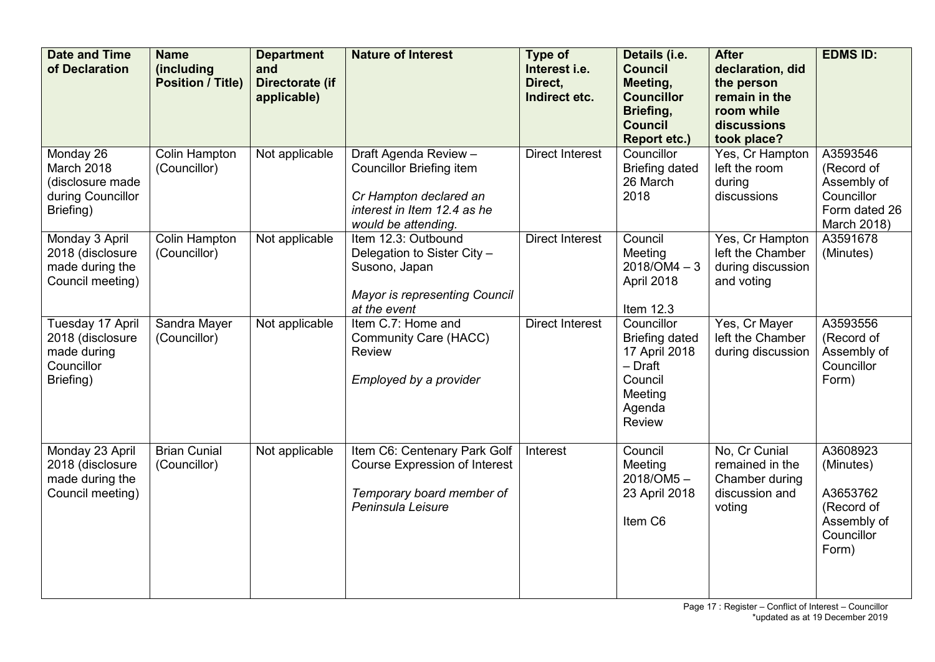| <b>Date and Time</b><br>of Declaration                                         | <b>Name</b><br>(including<br><b>Position / Title)</b> | <b>Department</b><br>and<br>Directorate (if<br>applicable) | <b>Nature of Interest</b>                                                                                                                | Type of<br>Interest i.e.<br>Direct,<br>Indirect etc. | Details (i.e.<br><b>Council</b><br>Meeting,<br><b>Councillor</b><br>Briefing,<br><b>Council</b><br><b>Report etc.)</b> | <b>After</b><br>declaration, did<br>the person<br>remain in the<br>room while<br>discussions<br>took place? | <b>EDMS ID:</b>                                                                       |
|--------------------------------------------------------------------------------|-------------------------------------------------------|------------------------------------------------------------|------------------------------------------------------------------------------------------------------------------------------------------|------------------------------------------------------|------------------------------------------------------------------------------------------------------------------------|-------------------------------------------------------------------------------------------------------------|---------------------------------------------------------------------------------------|
| Monday 26<br>March 2018<br>(disclosure made<br>during Councillor<br>Briefing)  | <b>Colin Hampton</b><br>(Councillor)                  | Not applicable                                             | Draft Agenda Review -<br><b>Councillor Briefing item</b><br>Cr Hampton declared an<br>interest in Item 12.4 as he<br>would be attending. | <b>Direct Interest</b>                               | Councillor<br><b>Briefing dated</b><br>26 March<br>2018                                                                | Yes, Cr Hampton<br>left the room<br>during<br>discussions                                                   | A3593546<br>(Record of<br>Assembly of<br>Councillor<br>Form dated 26<br>March 2018)   |
| Monday 3 April<br>2018 (disclosure<br>made during the<br>Council meeting)      | Colin Hampton<br>(Councillor)                         | Not applicable                                             | Item 12.3: Outbound<br>Delegation to Sister City -<br>Susono, Japan<br><b>Mayor is representing Council</b><br>at the event              | <b>Direct Interest</b>                               | Council<br>Meeting<br>$2018/OM4 - 3$<br>April 2018<br>Item 12.3                                                        | Yes, Cr Hampton<br>left the Chamber<br>during discussion<br>and voting                                      | A3591678<br>(Minutes)                                                                 |
| Tuesday 17 April<br>2018 (disclosure<br>made during<br>Councillor<br>Briefing) | Sandra Mayer<br>(Councillor)                          | Not applicable                                             | Item C.7: Home and<br><b>Community Care (HACC)</b><br>Review<br>Employed by a provider                                                   | <b>Direct Interest</b>                               | Councillor<br><b>Briefing dated</b><br>17 April 2018<br>- Draft<br>Council<br>Meeting<br>Agenda<br>Review              | Yes, Cr Mayer<br>left the Chamber<br>during discussion                                                      | A3593556<br>(Record of<br>Assembly of<br>Councillor<br>Form)                          |
| Monday 23 April<br>2018 (disclosure<br>made during the<br>Council meeting)     | <b>Brian Cunial</b><br>(Councillor)                   | Not applicable                                             | Item C6: Centenary Park Golf<br><b>Course Expression of Interest</b><br>Temporary board member of<br>Peninsula Leisure                   | Interest                                             | Council<br>Meeting<br>$2018/OM5 -$<br>23 April 2018<br>Item C6                                                         | No, Cr Cunial<br>remained in the<br>Chamber during<br>discussion and<br>voting                              | A3608923<br>(Minutes)<br>A3653762<br>(Record of<br>Assembly of<br>Councillor<br>Form) |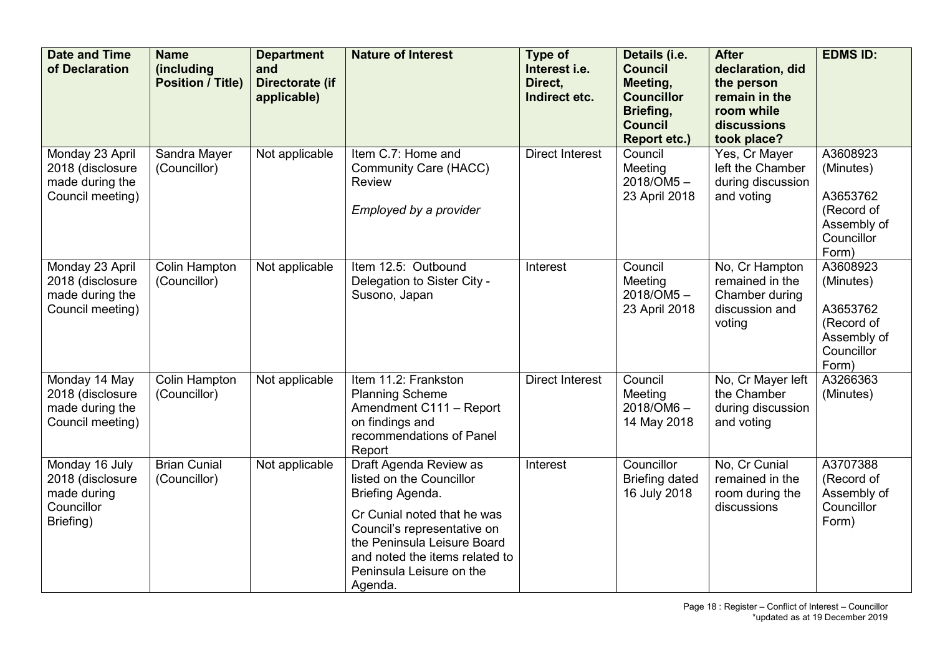| <b>Date and Time</b><br>of Declaration                                       | <b>Name</b><br>(including<br><b>Position / Title)</b> | <b>Department</b><br>and<br>Directorate (if<br>applicable) | <b>Nature of Interest</b>                                                                                                                                                                                                                    | <b>Type of</b><br>Interest i.e.<br>Direct.<br>Indirect etc. | Details (i.e.<br><b>Council</b><br>Meeting,<br><b>Councillor</b><br>Briefing,<br><b>Council</b><br><b>Report etc.)</b> | <b>After</b><br>declaration, did<br>the person<br>remain in the<br>room while<br>discussions<br>took place? | <b>EDMS ID:</b>                                                                       |
|------------------------------------------------------------------------------|-------------------------------------------------------|------------------------------------------------------------|----------------------------------------------------------------------------------------------------------------------------------------------------------------------------------------------------------------------------------------------|-------------------------------------------------------------|------------------------------------------------------------------------------------------------------------------------|-------------------------------------------------------------------------------------------------------------|---------------------------------------------------------------------------------------|
| Monday 23 April<br>2018 (disclosure<br>made during the<br>Council meeting)   | Sandra Mayer<br>(Councillor)                          | Not applicable                                             | Item C.7: Home and<br><b>Community Care (HACC)</b><br><b>Review</b><br>Employed by a provider                                                                                                                                                | <b>Direct Interest</b>                                      | Council<br>Meeting<br>2018/OM5-<br>23 April 2018                                                                       | Yes, Cr Mayer<br>left the Chamber<br>during discussion<br>and voting                                        | A3608923<br>(Minutes)<br>A3653762<br>(Record of<br>Assembly of<br>Councillor<br>Form) |
| Monday 23 April<br>2018 (disclosure<br>made during the<br>Council meeting)   | Colin Hampton<br>(Councillor)                         | Not applicable                                             | Item 12.5: Outbound<br>Delegation to Sister City -<br>Susono, Japan                                                                                                                                                                          | Interest                                                    | Council<br>Meeting<br>$2018/OM5 -$<br>23 April 2018                                                                    | No, Cr Hampton<br>remained in the<br>Chamber during<br>discussion and<br>voting                             | A3608923<br>(Minutes)<br>A3653762<br>(Record of<br>Assembly of<br>Councillor<br>Form) |
| Monday 14 May<br>2018 (disclosure<br>made during the<br>Council meeting)     | <b>Colin Hampton</b><br>(Councillor)                  | Not applicable                                             | Item 11.2: Frankston<br><b>Planning Scheme</b><br>Amendment C111 - Report<br>on findings and<br>recommendations of Panel<br>Report                                                                                                           | <b>Direct Interest</b>                                      | Council<br>Meeting<br>$2018/OM6 -$<br>14 May 2018                                                                      | No, Cr Mayer left<br>the Chamber<br>during discussion<br>and voting                                         | A3266363<br>(Minutes)                                                                 |
| Monday 16 July<br>2018 (disclosure<br>made during<br>Councillor<br>Briefing) | <b>Brian Cunial</b><br>(Councillor)                   | Not applicable                                             | Draft Agenda Review as<br>listed on the Councillor<br>Briefing Agenda.<br>Cr Cunial noted that he was<br>Council's representative on<br>the Peninsula Leisure Board<br>and noted the items related to<br>Peninsula Leisure on the<br>Agenda. | Interest                                                    | Councillor<br><b>Briefing dated</b><br>16 July 2018                                                                    | No, Cr Cunial<br>remained in the<br>room during the<br>discussions                                          | A3707388<br>(Record of<br>Assembly of<br>Councillor<br>Form)                          |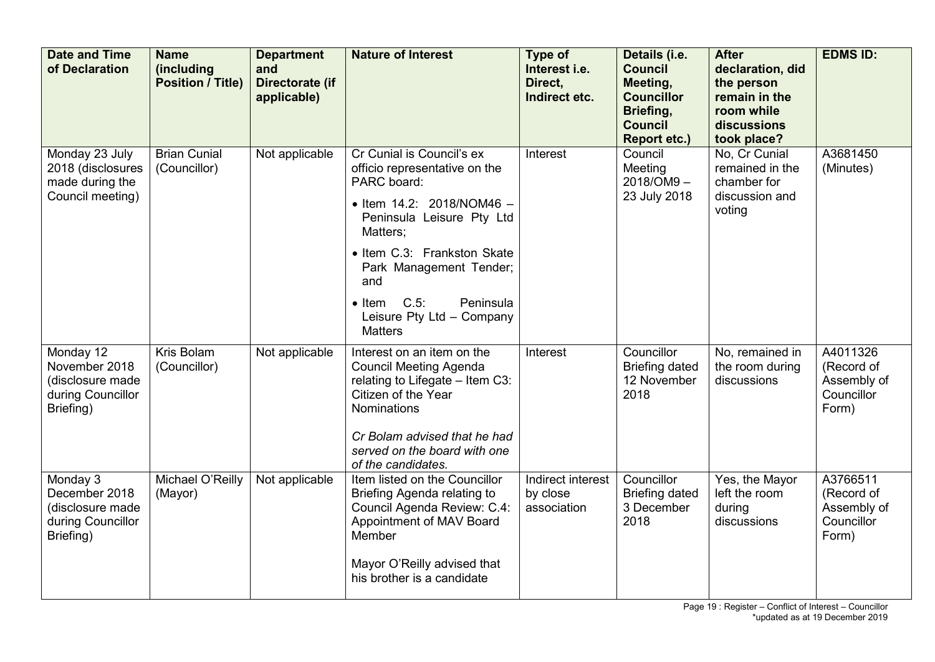| <b>Date and Time</b><br>of Declaration                                           | <b>Name</b><br>(including<br><b>Position / Title)</b> | <b>Department</b><br>and<br>Directorate (if<br>applicable) | <b>Nature of Interest</b>                                                                                                                                                                                                                                                                                         | Type of<br>Interest i.e.<br>Direct.<br>Indirect etc. | Details (i.e.<br><b>Council</b><br>Meeting,<br><b>Councillor</b><br>Briefing,<br><b>Council</b><br><b>Report etc.)</b> | <b>After</b><br>declaration, did<br>the person<br>remain in the<br>room while<br>discussions<br>took place? | <b>EDMS ID:</b>                                              |
|----------------------------------------------------------------------------------|-------------------------------------------------------|------------------------------------------------------------|-------------------------------------------------------------------------------------------------------------------------------------------------------------------------------------------------------------------------------------------------------------------------------------------------------------------|------------------------------------------------------|------------------------------------------------------------------------------------------------------------------------|-------------------------------------------------------------------------------------------------------------|--------------------------------------------------------------|
| Monday 23 July<br>2018 (disclosures<br>made during the<br>Council meeting)       | <b>Brian Cunial</b><br>(Councillor)                   | Not applicable                                             | Cr Cunial is Council's ex<br>officio representative on the<br>PARC board:<br>$\bullet$ Item 14.2: 2018/NOM46 -<br>Peninsula Leisure Pty Ltd<br>Matters;<br>• Item C.3: Frankston Skate<br>Park Management Tender;<br>and<br>$C.5$ :<br>Peninsula<br>$\bullet$ Item<br>Leisure Pty Ltd - Company<br><b>Matters</b> | Interest                                             | Council<br>Meeting<br>2018/OM9-<br>23 July 2018                                                                        | No, Cr Cunial<br>remained in the<br>chamber for<br>discussion and<br>voting                                 | A3681450<br>(Minutes)                                        |
| Monday 12<br>November 2018<br>(disclosure made<br>during Councillor<br>Briefing) | Kris Bolam<br>(Councillor)                            | Not applicable                                             | Interest on an item on the<br><b>Council Meeting Agenda</b><br>relating to Lifegate - Item C3:<br>Citizen of the Year<br>Nominations<br>Cr Bolam advised that he had<br>served on the board with one<br>of the candidates.                                                                                        | Interest                                             | Councillor<br><b>Briefing dated</b><br>12 November<br>2018                                                             | No, remained in<br>the room during<br>discussions                                                           | A4011326<br>(Record of<br>Assembly of<br>Councillor<br>Form) |
| Monday 3<br>December 2018<br>(disclosure made<br>during Councillor<br>Briefing)  | Michael O'Reilly<br>(Mayor)                           | Not applicable                                             | Item listed on the Councillor<br>Briefing Agenda relating to<br>Council Agenda Review: C.4:<br>Appointment of MAV Board<br>Member<br>Mayor O'Reilly advised that<br>his brother is a candidate                                                                                                                    | Indirect interest<br>by close<br>association         | Councillor<br><b>Briefing dated</b><br>3 December<br>2018                                                              | Yes, the Mayor<br>left the room<br>during<br>discussions                                                    | A3766511<br>(Record of<br>Assembly of<br>Councillor<br>Form) |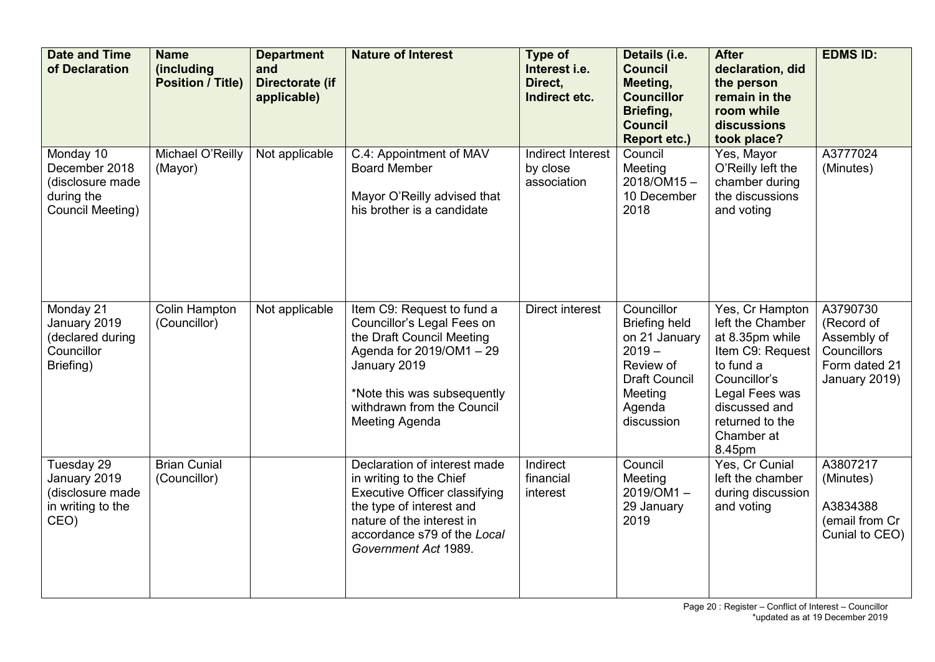| <b>Date and Time</b><br>of Declaration                                           | <b>Name</b><br>(including<br><b>Position / Title)</b> | <b>Department</b><br>and<br>Directorate (if<br>applicable) | <b>Nature of Interest</b>                                                                                                                                                                                        | Type of<br>Interest i.e.<br>Direct.<br>Indirect etc. | Details (i.e.<br><b>Council</b><br>Meeting,<br><b>Councillor</b><br>Briefing,<br><b>Council</b><br><b>Report etc.)</b>                  | <b>After</b><br>declaration, did<br>the person<br>remain in the<br>room while<br>discussions<br>took place?                                                                           | <b>EDMS ID:</b>                                                                        |
|----------------------------------------------------------------------------------|-------------------------------------------------------|------------------------------------------------------------|------------------------------------------------------------------------------------------------------------------------------------------------------------------------------------------------------------------|------------------------------------------------------|-----------------------------------------------------------------------------------------------------------------------------------------|---------------------------------------------------------------------------------------------------------------------------------------------------------------------------------------|----------------------------------------------------------------------------------------|
| Monday 10<br>December 2018<br>(disclosure made<br>during the<br>Council Meeting) | Michael O'Reilly<br>(Mayor)                           | Not applicable                                             | C.4: Appointment of MAV<br><b>Board Member</b><br>Mayor O'Reilly advised that<br>his brother is a candidate                                                                                                      | Indirect Interest<br>by close<br>association         | Council<br>Meeting<br>2018/OM15-<br>10 December<br>2018                                                                                 | Yes, Mayor<br>O'Reilly left the<br>chamber during<br>the discussions<br>and voting                                                                                                    | A3777024<br>(Minutes)                                                                  |
| Monday 21<br>January 2019<br>(declared during<br>Councillor<br>Briefing)         | <b>Colin Hampton</b><br>(Councillor)                  | Not applicable                                             | Item C9: Request to fund a<br>Councillor's Legal Fees on<br>the Draft Council Meeting<br>Agenda for 2019/OM1 - 29<br>January 2019<br>*Note this was subsequently<br>withdrawn from the Council<br>Meeting Agenda | Direct interest                                      | Councillor<br><b>Briefing held</b><br>on 21 January<br>$2019 -$<br>Review of<br><b>Draft Council</b><br>Meeting<br>Agenda<br>discussion | Yes, Cr Hampton<br>left the Chamber<br>at 8.35pm while<br>Item C9: Request<br>to fund a<br>Councillor's<br>Legal Fees was<br>discussed and<br>returned to the<br>Chamber at<br>8.45pm | A3790730<br>(Record of<br>Assembly of<br>Councillors<br>Form dated 21<br>January 2019) |
| Tuesday 29<br>January 2019<br>(disclosure made<br>in writing to the<br>CEO)      | <b>Brian Cunial</b><br>(Councillor)                   |                                                            | Declaration of interest made<br>in writing to the Chief<br><b>Executive Officer classifying</b><br>the type of interest and<br>nature of the interest in<br>accordance s79 of the Local<br>Government Act 1989.  | Indirect<br>financial<br>interest                    | Council<br>Meeting<br>2019/OM1-<br>29 January<br>2019                                                                                   | Yes, Cr Cunial<br>left the chamber<br>during discussion<br>and voting                                                                                                                 | A3807217<br>(Minutes)<br>A3834388<br>(email from Cr<br>Cunial to CEO)                  |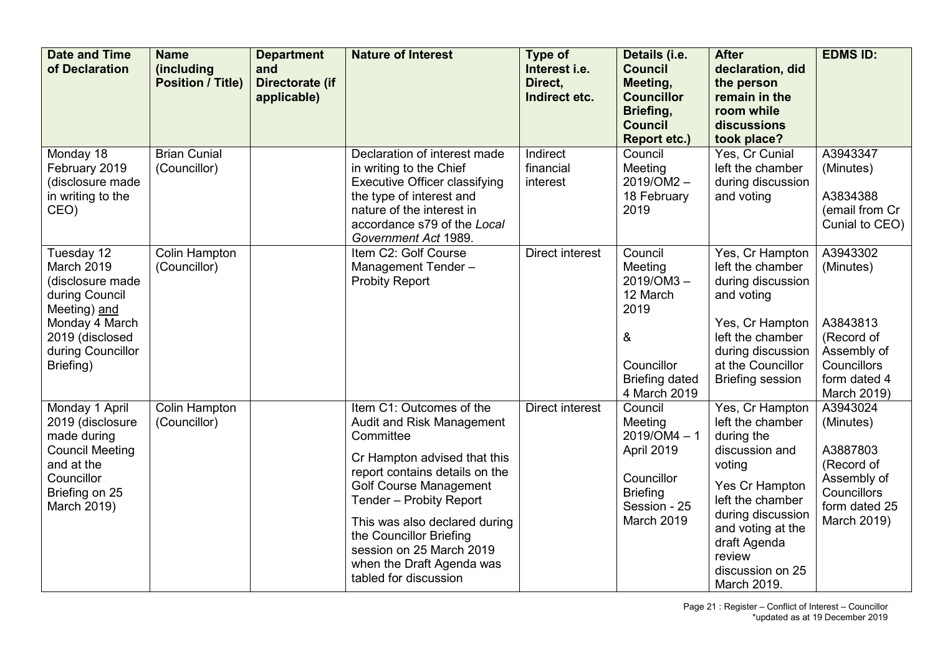| <b>Date and Time</b><br>of Declaration                                                                                                                | <b>Name</b><br>(including<br><b>Position / Title)</b> | <b>Department</b><br>and<br>Directorate (if<br>applicable) | <b>Nature of Interest</b>                                                                                                                                                                                                                                                                                                                      | Type of<br>Interest i.e.<br>Direct,<br>Indirect etc. | Details (i.e.<br><b>Council</b><br>Meeting,<br><b>Councillor</b><br>Briefing,<br><b>Council</b><br><b>Report etc.)</b> | <b>After</b><br>declaration, did<br>the person<br>remain in the<br>room while<br>discussions<br>took place?                                                                                                                | <b>EDMS ID:</b>                                                                                                     |
|-------------------------------------------------------------------------------------------------------------------------------------------------------|-------------------------------------------------------|------------------------------------------------------------|------------------------------------------------------------------------------------------------------------------------------------------------------------------------------------------------------------------------------------------------------------------------------------------------------------------------------------------------|------------------------------------------------------|------------------------------------------------------------------------------------------------------------------------|----------------------------------------------------------------------------------------------------------------------------------------------------------------------------------------------------------------------------|---------------------------------------------------------------------------------------------------------------------|
| Monday 18<br>February 2019<br>(disclosure made<br>in writing to the<br>CEO)                                                                           | <b>Brian Cunial</b><br>(Councillor)                   |                                                            | Declaration of interest made<br>in writing to the Chief<br><b>Executive Officer classifying</b><br>the type of interest and<br>nature of the interest in<br>accordance s79 of the Local<br>Government Act 1989.                                                                                                                                | Indirect<br>financial<br>interest                    | Council<br>Meeting<br>2019/OM2-<br>18 February<br>2019                                                                 | Yes, Cr Cunial<br>left the chamber<br>during discussion<br>and voting                                                                                                                                                      | A3943347<br>(Minutes)<br>A3834388<br>(email from Cr<br>Cunial to CEO)                                               |
| Tuesday 12<br>March 2019<br>(disclosure made<br>during Council<br>Meeting) and<br>Monday 4 March<br>2019 (disclosed<br>during Councillor<br>Briefing) | Colin Hampton<br>(Councillor)                         |                                                            | Item C2: Golf Course<br>Management Tender-<br><b>Probity Report</b>                                                                                                                                                                                                                                                                            | <b>Direct interest</b>                               | Council<br>Meeting<br>$2019/OM3 -$<br>12 March<br>2019<br>&<br>Councillor<br><b>Briefing dated</b><br>4 March 2019     | Yes, Cr Hampton<br>left the chamber<br>during discussion<br>and voting<br>Yes, Cr Hampton<br>left the chamber<br>during discussion<br>at the Councillor<br><b>Briefing session</b>                                         | A3943302<br>(Minutes)<br>A3843813<br>(Record of<br>Assembly of<br><b>Councillors</b><br>form dated 4<br>March 2019) |
| Monday 1 April<br>2019 (disclosure<br>made during<br><b>Council Meeting</b><br>and at the<br>Councillor<br>Briefing on 25<br>March 2019)              | Colin Hampton<br>(Councillor)                         |                                                            | Item C1: Outcomes of the<br>Audit and Risk Management<br>Committee<br>Cr Hampton advised that this<br>report contains details on the<br><b>Golf Course Management</b><br>Tender - Probity Report<br>This was also declared during<br>the Councillor Briefing<br>session on 25 March 2019<br>when the Draft Agenda was<br>tabled for discussion | <b>Direct interest</b>                               | Council<br>Meeting<br>$2019/OM4 - 1$<br>April 2019<br>Councillor<br><b>Briefing</b><br>Session - 25<br>March 2019      | Yes, Cr Hampton<br>left the chamber<br>during the<br>discussion and<br>voting<br>Yes Cr Hampton<br>left the chamber<br>during discussion<br>and voting at the<br>draft Agenda<br>review<br>discussion on 25<br>March 2019. | A3943024<br>(Minutes)<br>A3887803<br>(Record of<br>Assembly of<br>Councillors<br>form dated 25<br>March 2019)       |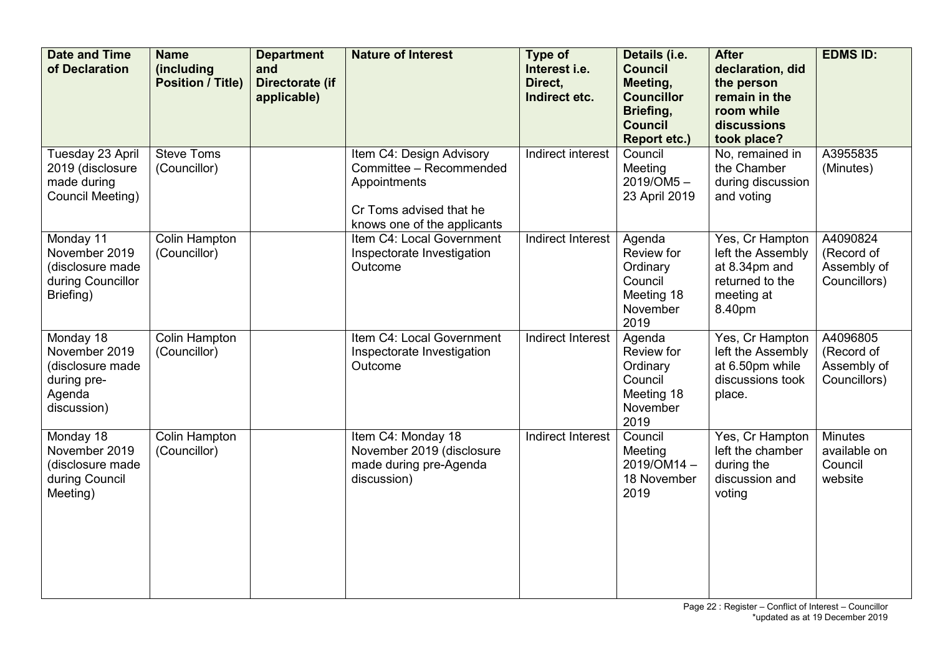| <b>Date and Time</b><br>of Declaration                                                 | <b>Name</b><br>(including<br><b>Position / Title)</b> | <b>Department</b><br>and<br>Directorate (if<br>applicable) | <b>Nature of Interest</b>                                                                                                     | <b>Type of</b><br>Interest i.e.<br>Direct.<br>Indirect etc. | Details (i.e.<br><b>Council</b><br>Meeting,<br><b>Councillor</b><br>Briefing,<br><b>Council</b><br><b>Report etc.)</b> | <b>After</b><br>declaration, did<br>the person<br>remain in the<br>room while<br>discussions<br>took place? | <b>EDMS ID:</b>                                       |
|----------------------------------------------------------------------------------------|-------------------------------------------------------|------------------------------------------------------------|-------------------------------------------------------------------------------------------------------------------------------|-------------------------------------------------------------|------------------------------------------------------------------------------------------------------------------------|-------------------------------------------------------------------------------------------------------------|-------------------------------------------------------|
| Tuesday 23 April<br>2019 (disclosure<br>made during<br>Council Meeting)                | <b>Steve Toms</b><br>(Councillor)                     |                                                            | Item C4: Design Advisory<br>Committee - Recommended<br>Appointments<br>Cr Toms advised that he<br>knows one of the applicants | Indirect interest                                           | Council<br>Meeting<br>2019/OM5-<br>23 April 2019                                                                       | No, remained in<br>the Chamber<br>during discussion<br>and voting                                           | A3955835<br>(Minutes)                                 |
| Monday 11<br>November 2019<br>(disclosure made<br>during Councillor<br>Briefing)       | Colin Hampton<br>(Councillor)                         |                                                            | Item C4: Local Government<br>Inspectorate Investigation<br>Outcome                                                            | Indirect Interest                                           | Agenda<br>Review for<br>Ordinary<br>Council<br>Meeting 18<br>November<br>2019                                          | Yes, Cr Hampton<br>left the Assembly<br>at 8.34pm and<br>returned to the<br>meeting at<br>8.40pm            | A4090824<br>(Record of<br>Assembly of<br>Councillors) |
| Monday 18<br>November 2019<br>(disclosure made<br>during pre-<br>Agenda<br>discussion) | <b>Colin Hampton</b><br>(Councillor)                  |                                                            | Item C4: Local Government<br>Inspectorate Investigation<br>Outcome                                                            | Indirect Interest                                           | Agenda<br>Review for<br>Ordinary<br>Council<br>Meeting 18<br>November<br>2019                                          | Yes, Cr Hampton<br>left the Assembly<br>at 6.50pm while<br>discussions took<br>place.                       | A4096805<br>(Record of<br>Assembly of<br>Councillors) |
| Monday 18<br>November 2019<br>(disclosure made<br>during Council<br>Meeting)           | Colin Hampton<br>(Councillor)                         |                                                            | Item C4: Monday 18<br>November 2019 (disclosure<br>made during pre-Agenda<br>discussion)                                      | Indirect Interest                                           | Council<br>Meeting<br>2019/OM14-<br>18 November<br>2019                                                                | Yes, Cr Hampton<br>left the chamber<br>during the<br>discussion and<br>voting                               | <b>Minutes</b><br>available on<br>Council<br>website  |